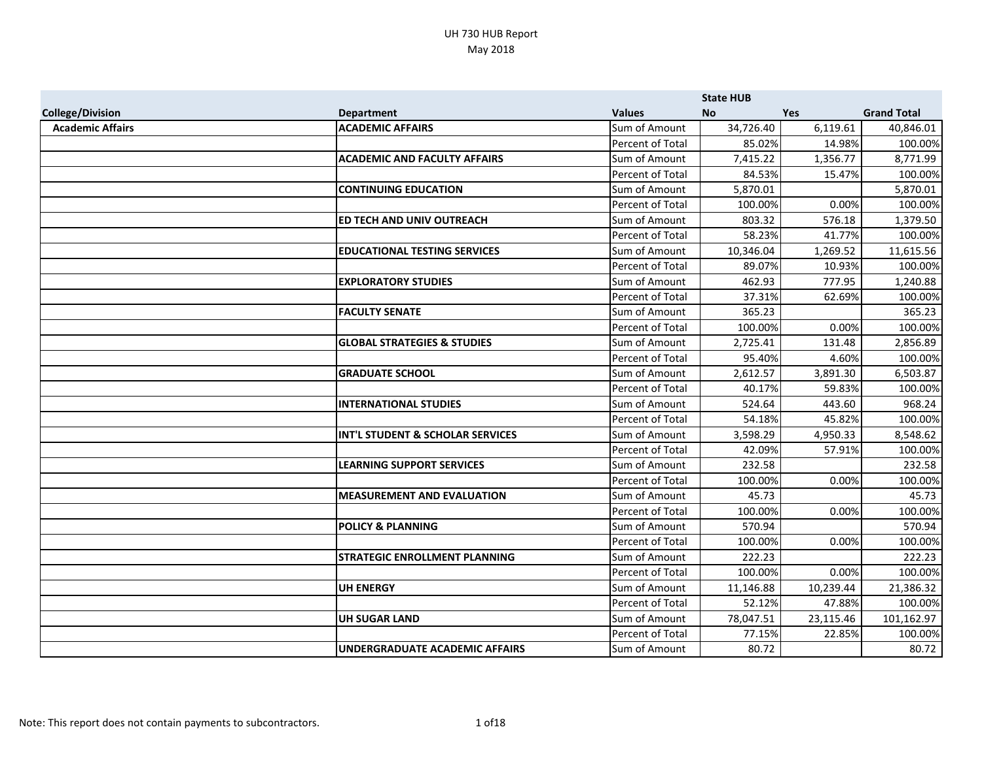|                         |                                             |                         | <b>State HUB</b> |            |                    |
|-------------------------|---------------------------------------------|-------------------------|------------------|------------|--------------------|
| <b>College/Division</b> | <b>Department</b>                           | <b>Values</b>           | <b>No</b>        | <b>Yes</b> | <b>Grand Total</b> |
| <b>Academic Affairs</b> | <b>ACADEMIC AFFAIRS</b>                     | Sum of Amount           | 34,726.40        | 6,119.61   | 40,846.01          |
|                         |                                             | <b>Percent of Total</b> | 85.02%           | 14.98%     | 100.00%            |
|                         | <b>ACADEMIC AND FACULTY AFFAIRS</b>         | Sum of Amount           | 7,415.22         | 1,356.77   | 8,771.99           |
|                         |                                             | Percent of Total        | 84.53%           | 15.47%     | 100.00%            |
|                         | <b>CONTINUING EDUCATION</b>                 | Sum of Amount           | 5,870.01         |            | 5,870.01           |
|                         |                                             | Percent of Total        | 100.00%          | 0.00%      | 100.00%            |
|                         | ED TECH AND UNIV OUTREACH                   | Sum of Amount           | 803.32           | 576.18     | 1,379.50           |
|                         |                                             | Percent of Total        | 58.23%           | 41.77%     | 100.00%            |
|                         | <b>EDUCATIONAL TESTING SERVICES</b>         | Sum of Amount           | 10,346.04        | 1,269.52   | 11,615.56          |
|                         |                                             | Percent of Total        | 89.07%           | 10.93%     | 100.00%            |
|                         | <b>EXPLORATORY STUDIES</b>                  | Sum of Amount           | 462.93           | 777.95     | 1,240.88           |
|                         |                                             | Percent of Total        | 37.31%           | 62.69%     | 100.00%            |
|                         | <b>FACULTY SENATE</b>                       | Sum of Amount           | 365.23           |            | 365.23             |
|                         |                                             | Percent of Total        | 100.00%          | 0.00%      | 100.00%            |
|                         | <b>GLOBAL STRATEGIES &amp; STUDIES</b>      | Sum of Amount           | 2,725.41         | 131.48     | 2,856.89           |
|                         |                                             | Percent of Total        | 95.40%           | 4.60%      | 100.00%            |
|                         | <b>GRADUATE SCHOOL</b>                      | Sum of Amount           | 2,612.57         | 3,891.30   | 6,503.87           |
|                         |                                             | Percent of Total        | 40.17%           | 59.83%     | 100.00%            |
|                         | <b>INTERNATIONAL STUDIES</b>                | Sum of Amount           | 524.64           | 443.60     | 968.24             |
|                         |                                             | Percent of Total        | 54.18%           | 45.82%     | 100.00%            |
|                         | <b>INT'L STUDENT &amp; SCHOLAR SERVICES</b> | Sum of Amount           | 3,598.29         | 4,950.33   | 8,548.62           |
|                         |                                             | Percent of Total        | 42.09%           | 57.91%     | 100.00%            |
|                         | <b>LEARNING SUPPORT SERVICES</b>            | Sum of Amount           | 232.58           |            | 232.58             |
|                         |                                             | Percent of Total        | 100.00%          | 0.00%      | 100.00%            |
|                         | <b>MEASUREMENT AND EVALUATION</b>           | Sum of Amount           | 45.73            |            | 45.73              |
|                         |                                             | Percent of Total        | 100.00%          | 0.00%      | 100.00%            |
|                         | <b>POLICY &amp; PLANNING</b>                | Sum of Amount           | 570.94           |            | 570.94             |
|                         |                                             | Percent of Total        | 100.00%          | 0.00%      | 100.00%            |
|                         | <b>STRATEGIC ENROLLMENT PLANNING</b>        | Sum of Amount           | 222.23           |            | 222.23             |
|                         |                                             | Percent of Total        | 100.00%          | 0.00%      | 100.00%            |
|                         | <b>UH ENERGY</b>                            | Sum of Amount           | 11,146.88        | 10,239.44  | 21,386.32          |
|                         |                                             | Percent of Total        | 52.12%           | 47.88%     | 100.00%            |
|                         | <b>UH SUGAR LAND</b>                        | Sum of Amount           | 78,047.51        | 23,115.46  | 101,162.97         |
|                         |                                             | Percent of Total        | 77.15%           | 22.85%     | 100.00%            |
|                         | <b>UNDERGRADUATE ACADEMIC AFFAIRS</b>       | Sum of Amount           | 80.72            |            | 80.72              |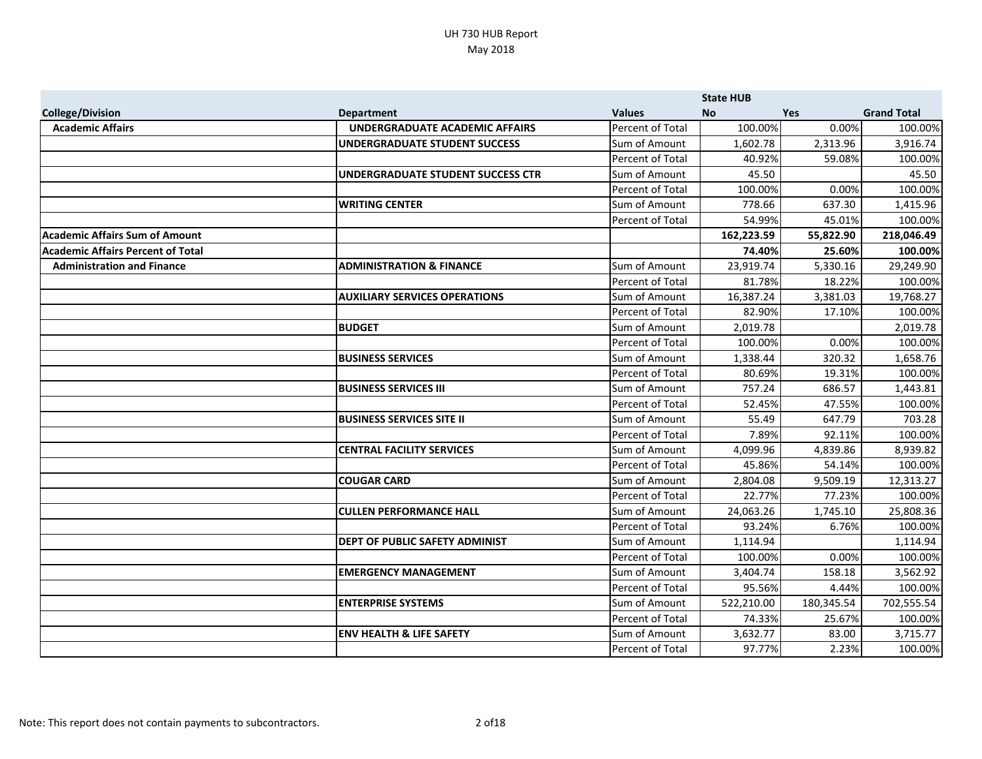|                                          |                                          |                  | <b>State HUB</b> |            |                    |
|------------------------------------------|------------------------------------------|------------------|------------------|------------|--------------------|
| <b>College/Division</b>                  | <b>Department</b>                        | <b>Values</b>    | <b>No</b>        | <b>Yes</b> | <b>Grand Total</b> |
| <b>Academic Affairs</b>                  | <b>UNDERGRADUATE ACADEMIC AFFAIRS</b>    | Percent of Total | 100.00%          | 0.00%      | 100.00%            |
|                                          | <b>UNDERGRADUATE STUDENT SUCCESS</b>     | Sum of Amount    | 1,602.78         | 2,313.96   | 3,916.74           |
|                                          |                                          | Percent of Total | 40.92%           | 59.08%     | 100.00%            |
|                                          | <b>UNDERGRADUATE STUDENT SUCCESS CTR</b> | Sum of Amount    | 45.50            |            | 45.50              |
|                                          |                                          | Percent of Total | 100.00%          | 0.00%      | 100.00%            |
|                                          | <b>WRITING CENTER</b>                    | Sum of Amount    | 778.66           | 637.30     | 1,415.96           |
|                                          |                                          | Percent of Total | 54.99%           | 45.01%     | 100.00%            |
| <b>Academic Affairs Sum of Amount</b>    |                                          |                  | 162,223.59       | 55,822.90  | 218,046.49         |
| <b>Academic Affairs Percent of Total</b> |                                          |                  | 74.40%           | 25.60%     | 100.00%            |
| <b>Administration and Finance</b>        | <b>ADMINISTRATION &amp; FINANCE</b>      | Sum of Amount    | 23,919.74        | 5,330.16   | 29,249.90          |
|                                          |                                          | Percent of Total | 81.78%           | 18.22%     | 100.00%            |
|                                          | <b>AUXILIARY SERVICES OPERATIONS</b>     | Sum of Amount    | 16,387.24        | 3,381.03   | 19,768.27          |
|                                          |                                          | Percent of Total | 82.90%           | 17.10%     | 100.00%            |
|                                          | <b>BUDGET</b>                            | Sum of Amount    | 2,019.78         |            | 2,019.78           |
|                                          |                                          | Percent of Total | 100.00%          | 0.00%      | 100.00%            |
|                                          | <b>BUSINESS SERVICES</b>                 | Sum of Amount    | 1,338.44         | 320.32     | 1,658.76           |
|                                          |                                          | Percent of Total | 80.69%           | 19.31%     | 100.00%            |
|                                          | <b>BUSINESS SERVICES III</b>             | Sum of Amount    | 757.24           | 686.57     | 1,443.81           |
|                                          |                                          | Percent of Total | 52.45%           | 47.55%     | 100.00%            |
|                                          | <b>BUSINESS SERVICES SITE II</b>         | Sum of Amount    | 55.49            | 647.79     | 703.28             |
|                                          |                                          | Percent of Total | 7.89%            | 92.11%     | 100.00%            |
|                                          | <b>CENTRAL FACILITY SERVICES</b>         | Sum of Amount    | 4,099.96         | 4,839.86   | 8,939.82           |
|                                          |                                          | Percent of Total | 45.86%           | 54.14%     | 100.00%            |
|                                          | <b>COUGAR CARD</b>                       | Sum of Amount    | 2,804.08         | 9,509.19   | 12,313.27          |
|                                          |                                          | Percent of Total | 22.77%           | 77.23%     | 100.00%            |
|                                          | <b>CULLEN PERFORMANCE HALL</b>           | Sum of Amount    | 24,063.26        | 1,745.10   | 25,808.36          |
|                                          |                                          | Percent of Total | 93.24%           | 6.76%      | 100.00%            |
|                                          | DEPT OF PUBLIC SAFETY ADMINIST           | Sum of Amount    | 1,114.94         |            | 1,114.94           |
|                                          |                                          | Percent of Total | 100.00%          | 0.00%      | 100.00%            |
|                                          | <b>EMERGENCY MANAGEMENT</b>              | Sum of Amount    | 3,404.74         | 158.18     | 3,562.92           |
|                                          |                                          | Percent of Total | 95.56%           | 4.44%      | 100.00%            |
|                                          | <b>ENTERPRISE SYSTEMS</b>                | Sum of Amount    | 522,210.00       | 180,345.54 | 702,555.54         |
|                                          |                                          | Percent of Total | 74.33%           | 25.67%     | 100.00%            |
|                                          | <b>ENV HEALTH &amp; LIFE SAFETY</b>      | Sum of Amount    | 3,632.77         | 83.00      | 3,715.77           |
|                                          |                                          | Percent of Total | 97.77%           | 2.23%      | 100.00%            |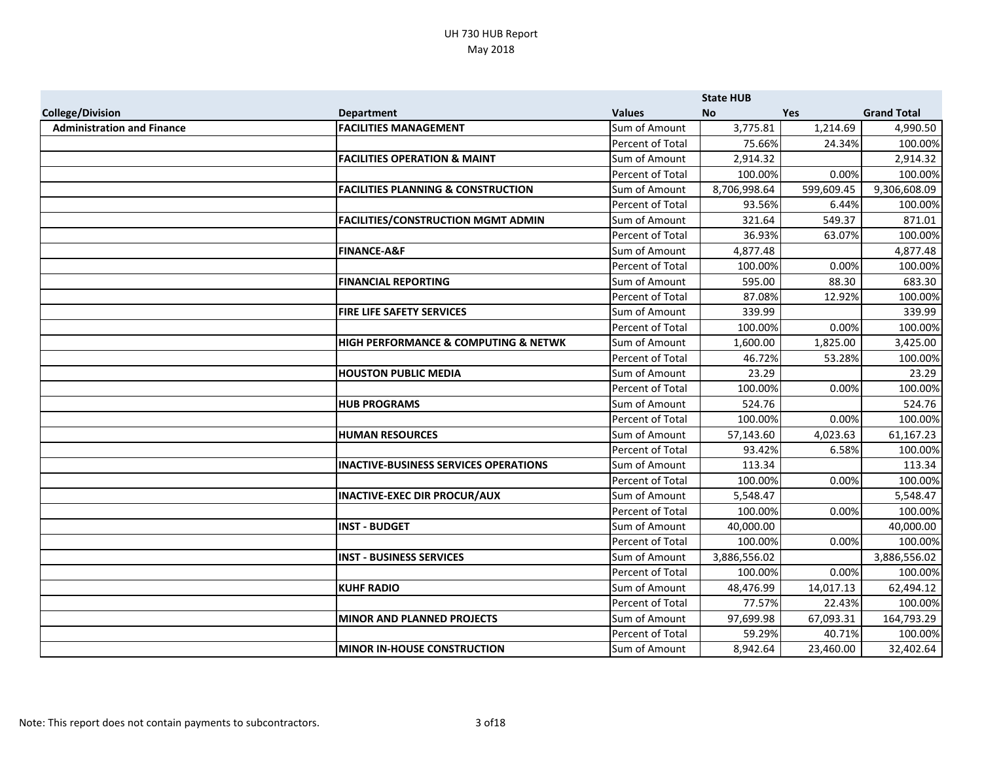|                                   |                                               |                  | <b>State HUB</b> |            |                    |
|-----------------------------------|-----------------------------------------------|------------------|------------------|------------|--------------------|
| <b>College/Division</b>           | <b>Department</b>                             | <b>Values</b>    | <b>No</b>        | <b>Yes</b> | <b>Grand Total</b> |
| <b>Administration and Finance</b> | <b>FACILITIES MANAGEMENT</b>                  | Sum of Amount    | 3,775.81         | 1,214.69   | 4,990.50           |
|                                   |                                               | Percent of Total | 75.66%           | 24.34%     | 100.00%            |
|                                   | <b>FACILITIES OPERATION &amp; MAINT</b>       | Sum of Amount    | 2,914.32         |            | 2,914.32           |
|                                   |                                               | Percent of Total | 100.00%          | 0.00%      | 100.00%            |
|                                   | <b>FACILITIES PLANNING &amp; CONSTRUCTION</b> | Sum of Amount    | 8,706,998.64     | 599,609.45 | 9,306,608.09       |
|                                   |                                               | Percent of Total | 93.56%           | 6.44%      | 100.00%            |
|                                   | <b>FACILITIES/CONSTRUCTION MGMT ADMIN</b>     | Sum of Amount    | 321.64           | 549.37     | 871.01             |
|                                   |                                               | Percent of Total | 36.93%           | 63.07%     | 100.00%            |
|                                   | <b>FINANCE-A&amp;F</b>                        | Sum of Amount    | 4,877.48         |            | 4,877.48           |
|                                   |                                               | Percent of Total | 100.00%          | 0.00%      | 100.00%            |
|                                   | <b>FINANCIAL REPORTING</b>                    | Sum of Amount    | 595.00           | 88.30      | 683.30             |
|                                   |                                               | Percent of Total | 87.08%           | 12.92%     | 100.00%            |
|                                   | FIRE LIFE SAFETY SERVICES                     | Sum of Amount    | 339.99           |            | 339.99             |
|                                   |                                               | Percent of Total | 100.00%          | 0.00%      | 100.00%            |
|                                   | HIGH PERFORMANCE & COMPUTING & NETWK          | Sum of Amount    | 1,600.00         | 1,825.00   | 3,425.00           |
|                                   |                                               | Percent of Total | 46.72%           | 53.28%     | 100.00%            |
|                                   | <b>HOUSTON PUBLIC MEDIA</b>                   | Sum of Amount    | 23.29            |            | 23.29              |
|                                   |                                               | Percent of Total | 100.00%          | 0.00%      | 100.00%            |
|                                   | <b>HUB PROGRAMS</b>                           | Sum of Amount    | 524.76           |            | 524.76             |
|                                   |                                               | Percent of Total | 100.00%          | 0.00%      | 100.00%            |
|                                   | <b>HUMAN RESOURCES</b>                        | Sum of Amount    | 57,143.60        | 4,023.63   | 61,167.23          |
|                                   |                                               | Percent of Total | 93.42%           | 6.58%      | 100.00%            |
|                                   | <b>INACTIVE-BUSINESS SERVICES OPERATIONS</b>  | Sum of Amount    | 113.34           |            | 113.34             |
|                                   |                                               | Percent of Total | 100.00%          | 0.00%      | 100.00%            |
|                                   | <b>INACTIVE-EXEC DIR PROCUR/AUX</b>           | Sum of Amount    | 5,548.47         |            | 5,548.47           |
|                                   |                                               | Percent of Total | 100.00%          | 0.00%      | 100.00%            |
|                                   | <b>INST - BUDGET</b>                          | Sum of Amount    | 40,000.00        |            | 40,000.00          |
|                                   |                                               | Percent of Total | 100.00%          | 0.00%      | 100.00%            |
|                                   | <b>INST - BUSINESS SERVICES</b>               | Sum of Amount    | 3,886,556.02     |            | 3,886,556.02       |
|                                   |                                               | Percent of Total | 100.00%          | 0.00%      | 100.00%            |
|                                   | <b>KUHF RADIO</b>                             | Sum of Amount    | 48,476.99        | 14,017.13  | 62,494.12          |
|                                   |                                               | Percent of Total | 77.57%           | 22.43%     | 100.00%            |
|                                   | <b>MINOR AND PLANNED PROJECTS</b>             | Sum of Amount    | 97,699.98        | 67,093.31  | 164,793.29         |
|                                   |                                               | Percent of Total | 59.29%           | 40.71%     | 100.00%            |
|                                   | <b>MINOR IN-HOUSE CONSTRUCTION</b>            | Sum of Amount    | 8,942.64         | 23,460.00  | 32,402.64          |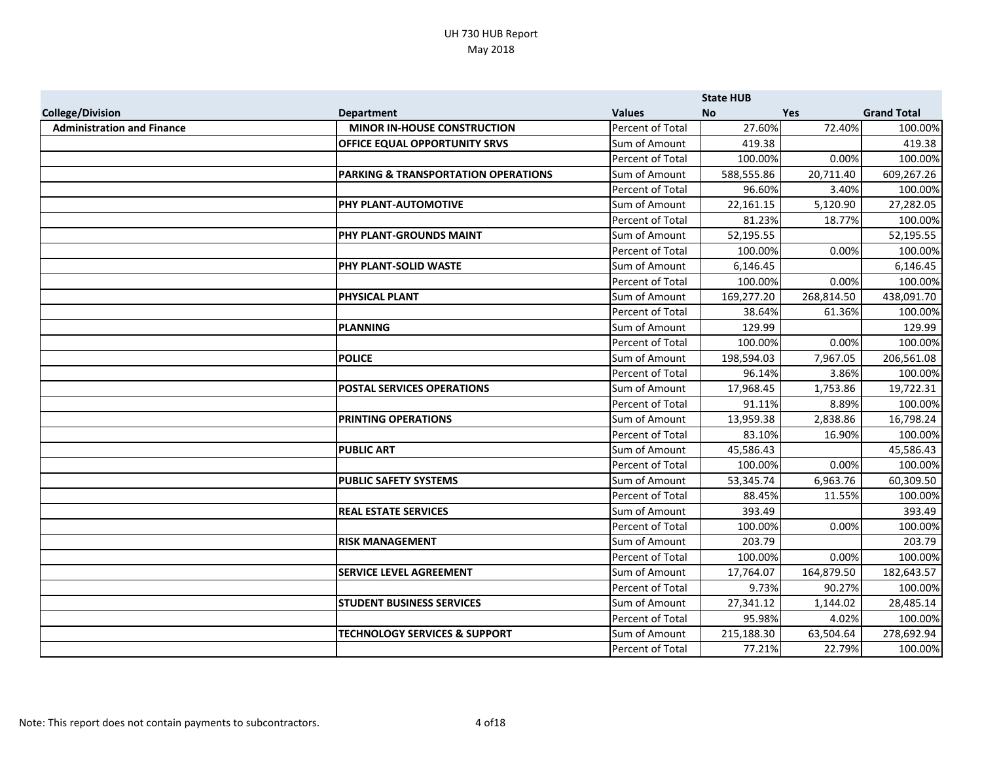|                                   |                                                |                  | <b>State HUB</b> |            |                    |
|-----------------------------------|------------------------------------------------|------------------|------------------|------------|--------------------|
| <b>College/Division</b>           | <b>Department</b>                              | <b>Values</b>    | No               | <b>Yes</b> | <b>Grand Total</b> |
| <b>Administration and Finance</b> | <b>MINOR IN-HOUSE CONSTRUCTION</b>             | Percent of Total | 27.60%           | 72.40%     | 100.00%            |
|                                   | OFFICE EQUAL OPPORTUNITY SRVS                  | Sum of Amount    | 419.38           |            | 419.38             |
|                                   |                                                | Percent of Total | 100.00%          | 0.00%      | 100.00%            |
|                                   | <b>PARKING &amp; TRANSPORTATION OPERATIONS</b> | Sum of Amount    | 588,555.86       | 20,711.40  | 609,267.26         |
|                                   |                                                | Percent of Total | 96.60%           | 3.40%      | 100.00%            |
|                                   | PHY PLANT-AUTOMOTIVE                           | Sum of Amount    | 22,161.15        | 5,120.90   | 27,282.05          |
|                                   |                                                | Percent of Total | 81.23%           | 18.77%     | 100.00%            |
|                                   | PHY PLANT-GROUNDS MAINT                        | Sum of Amount    | 52,195.55        |            | 52,195.55          |
|                                   |                                                | Percent of Total | 100.00%          | 0.00%      | 100.00%            |
|                                   | PHY PLANT-SOLID WASTE                          | Sum of Amount    | 6,146.45         |            | 6,146.45           |
|                                   |                                                | Percent of Total | 100.00%          | 0.00%      | 100.00%            |
|                                   | PHYSICAL PLANT                                 | Sum of Amount    | 169,277.20       | 268,814.50 | 438,091.70         |
|                                   |                                                | Percent of Total | 38.64%           | 61.36%     | 100.00%            |
|                                   | <b>PLANNING</b>                                | Sum of Amount    | 129.99           |            | 129.99             |
|                                   |                                                | Percent of Total | 100.00%          | 0.00%      | 100.00%            |
|                                   | <b>POLICE</b>                                  | Sum of Amount    | 198,594.03       | 7,967.05   | 206,561.08         |
|                                   |                                                | Percent of Total | 96.14%           | 3.86%      | 100.00%            |
|                                   | <b>POSTAL SERVICES OPERATIONS</b>              | Sum of Amount    | 17,968.45        | 1,753.86   | 19,722.31          |
|                                   |                                                | Percent of Total | 91.11%           | 8.89%      | 100.00%            |
|                                   | PRINTING OPERATIONS                            | Sum of Amount    | 13,959.38        | 2,838.86   | 16,798.24          |
|                                   |                                                | Percent of Total | 83.10%           | 16.90%     | 100.00%            |
|                                   | <b>PUBLIC ART</b>                              | Sum of Amount    | 45,586.43        |            | 45,586.43          |
|                                   |                                                | Percent of Total | 100.00%          | 0.00%      | 100.00%            |
|                                   | <b>PUBLIC SAFETY SYSTEMS</b>                   | Sum of Amount    | 53,345.74        | 6,963.76   | 60,309.50          |
|                                   |                                                | Percent of Total | 88.45%           | 11.55%     | 100.00%            |
|                                   | <b>REAL ESTATE SERVICES</b>                    | Sum of Amount    | 393.49           |            | 393.49             |
|                                   |                                                | Percent of Total | 100.00%          | 0.00%      | 100.00%            |
|                                   | <b>RISK MANAGEMENT</b>                         | Sum of Amount    | 203.79           |            | 203.79             |
|                                   |                                                | Percent of Total | 100.00%          | 0.00%      | 100.00%            |
|                                   | <b>SERVICE LEVEL AGREEMENT</b>                 | Sum of Amount    | 17,764.07        | 164,879.50 | 182,643.57         |
|                                   |                                                | Percent of Total | 9.73%            | 90.27%     | 100.00%            |
|                                   | <b>STUDENT BUSINESS SERVICES</b>               | Sum of Amount    | 27,341.12        | 1,144.02   | 28,485.14          |
|                                   |                                                | Percent of Total | 95.98%           | 4.02%      | 100.00%            |
|                                   | <b>TECHNOLOGY SERVICES &amp; SUPPORT</b>       | Sum of Amount    | 215,188.30       | 63,504.64  | 278,692.94         |
|                                   |                                                | Percent of Total | 77.21%           | 22.79%     | 100.00%            |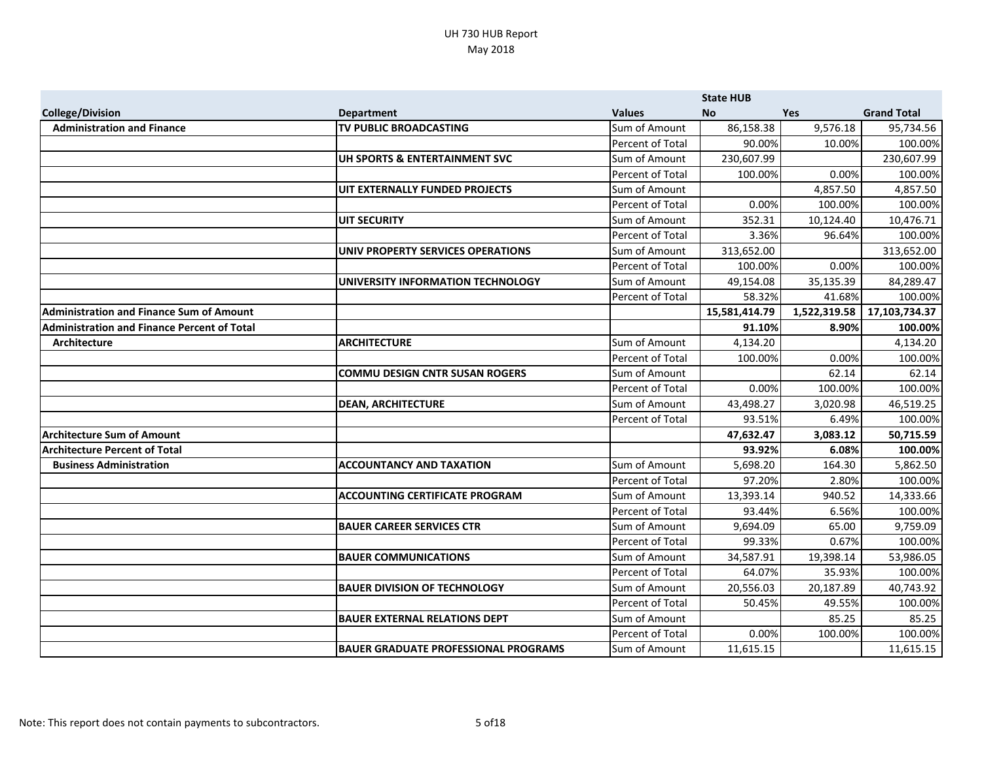|                                                    |                                             |                  | <b>State HUB</b> |              |                    |
|----------------------------------------------------|---------------------------------------------|------------------|------------------|--------------|--------------------|
| <b>College/Division</b>                            | <b>Department</b>                           | <b>Values</b>    | <b>No</b>        | <b>Yes</b>   | <b>Grand Total</b> |
| <b>Administration and Finance</b>                  | TV PUBLIC BROADCASTING                      | Sum of Amount    | 86,158.38        | 9,576.18     | 95,734.56          |
|                                                    |                                             | Percent of Total | 90.00%           | 10.00%       | 100.00%            |
|                                                    | UH SPORTS & ENTERTAINMENT SVC               | Sum of Amount    | 230,607.99       |              | 230,607.99         |
|                                                    |                                             | Percent of Total | 100.00%          | 0.00%        | 100.00%            |
|                                                    | UIT EXTERNALLY FUNDED PROJECTS              | Sum of Amount    |                  | 4,857.50     | 4,857.50           |
|                                                    |                                             | Percent of Total | 0.00%            | 100.00%      | 100.00%            |
|                                                    | <b>UIT SECURITY</b>                         | Sum of Amount    | 352.31           | 10,124.40    | 10,476.71          |
|                                                    |                                             | Percent of Total | 3.36%            | 96.64%       | 100.00%            |
|                                                    | UNIV PROPERTY SERVICES OPERATIONS           | Sum of Amount    | 313,652.00       |              | 313,652.00         |
|                                                    |                                             | Percent of Total | 100.00%          | 0.00%        | 100.00%            |
|                                                    | UNIVERSITY INFORMATION TECHNOLOGY           | Sum of Amount    | 49,154.08        | 35,135.39    | 84,289.47          |
|                                                    |                                             | Percent of Total | 58.32%           | 41.68%       | 100.00%            |
| <b>Administration and Finance Sum of Amount</b>    |                                             |                  | 15,581,414.79    | 1,522,319.58 | 17,103,734.37      |
| <b>Administration and Finance Percent of Total</b> |                                             |                  | 91.10%           | 8.90%        | 100.00%            |
| Architecture                                       | <b>ARCHITECTURE</b>                         | Sum of Amount    | 4,134.20         |              | 4,134.20           |
|                                                    |                                             | Percent of Total | 100.00%          | 0.00%        | 100.00%            |
|                                                    | <b>COMMU DESIGN CNTR SUSAN ROGERS</b>       | Sum of Amount    |                  | 62.14        | 62.14              |
|                                                    |                                             | Percent of Total | 0.00%            | 100.00%      | 100.00%            |
|                                                    | <b>DEAN, ARCHITECTURE</b>                   | Sum of Amount    | 43,498.27        | 3,020.98     | 46,519.25          |
|                                                    |                                             | Percent of Total | 93.51%           | 6.49%        | 100.00%            |
| <b>Architecture Sum of Amount</b>                  |                                             |                  | 47,632.47        | 3,083.12     | 50,715.59          |
| <b>Architecture Percent of Total</b>               |                                             |                  | 93.92%           | 6.08%        | 100.00%            |
| <b>Business Administration</b>                     | <b>ACCOUNTANCY AND TAXATION</b>             | Sum of Amount    | 5,698.20         | 164.30       | 5,862.50           |
|                                                    |                                             | Percent of Total | 97.20%           | 2.80%        | 100.00%            |
|                                                    | <b>ACCOUNTING CERTIFICATE PROGRAM</b>       | Sum of Amount    | 13,393.14        | 940.52       | 14,333.66          |
|                                                    |                                             | Percent of Total | 93.44%           | 6.56%        | 100.00%            |
|                                                    | <b>BAUER CAREER SERVICES CTR</b>            | Sum of Amount    | 9,694.09         | 65.00        | 9,759.09           |
|                                                    |                                             | Percent of Total | 99.33%           | 0.67%        | 100.00%            |
|                                                    | <b>BAUER COMMUNICATIONS</b>                 | Sum of Amount    | 34,587.91        | 19,398.14    | 53,986.05          |
|                                                    |                                             | Percent of Total | 64.07%           | 35.93%       | 100.00%            |
|                                                    | <b>BAUER DIVISION OF TECHNOLOGY</b>         | Sum of Amount    | 20,556.03        | 20,187.89    | 40,743.92          |
|                                                    |                                             | Percent of Total | 50.45%           | 49.55%       | 100.00%            |
|                                                    | <b>BAUER EXTERNAL RELATIONS DEPT</b>        | Sum of Amount    |                  | 85.25        | 85.25              |
|                                                    |                                             | Percent of Total | 0.00%            | 100.00%      | 100.00%            |
|                                                    | <b>BAUER GRADUATE PROFESSIONAL PROGRAMS</b> | Sum of Amount    | 11,615.15        |              | 11,615.15          |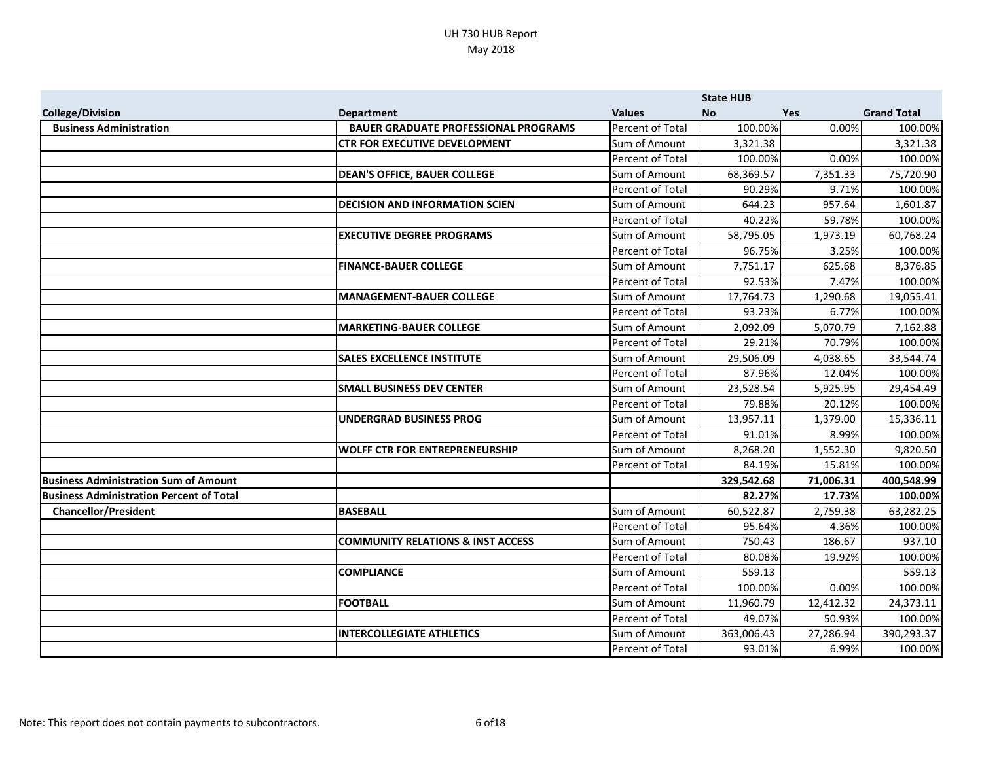|                                                 |                                              |                  | <b>State HUB</b> |            |                    |
|-------------------------------------------------|----------------------------------------------|------------------|------------------|------------|--------------------|
| <b>College/Division</b>                         | <b>Department</b>                            | <b>Values</b>    | <b>No</b>        | <b>Yes</b> | <b>Grand Total</b> |
| <b>Business Administration</b>                  | <b>BAUER GRADUATE PROFESSIONAL PROGRAMS</b>  | Percent of Total | 100.00%          | 0.00%      | 100.00%            |
|                                                 | <b>CTR FOR EXECUTIVE DEVELOPMENT</b>         | Sum of Amount    | 3,321.38         |            | 3,321.38           |
|                                                 |                                              | Percent of Total | 100.00%          | 0.00%      | 100.00%            |
|                                                 | <b>DEAN'S OFFICE, BAUER COLLEGE</b>          | Sum of Amount    | 68,369.57        | 7,351.33   | 75,720.90          |
|                                                 |                                              | Percent of Total | 90.29%           | 9.71%      | 100.00%            |
|                                                 | <b>DECISION AND INFORMATION SCIEN</b>        | Sum of Amount    | 644.23           | 957.64     | 1,601.87           |
|                                                 |                                              | Percent of Total | 40.22%           | 59.78%     | 100.00%            |
|                                                 | <b>EXECUTIVE DEGREE PROGRAMS</b>             | Sum of Amount    | 58,795.05        | 1,973.19   | 60,768.24          |
|                                                 |                                              | Percent of Total | 96.75%           | 3.25%      | 100.00%            |
|                                                 | <b>FINANCE-BAUER COLLEGE</b>                 | Sum of Amount    | 7,751.17         | 625.68     | 8,376.85           |
|                                                 |                                              | Percent of Total | 92.53%           | 7.47%      | 100.00%            |
|                                                 | <b>MANAGEMENT-BAUER COLLEGE</b>              | Sum of Amount    | 17,764.73        | 1,290.68   | 19,055.41          |
|                                                 |                                              | Percent of Total | 93.23%           | 6.77%      | 100.00%            |
|                                                 | <b>MARKETING-BAUER COLLEGE</b>               | Sum of Amount    | 2,092.09         | 5,070.79   | 7,162.88           |
|                                                 |                                              | Percent of Total | 29.21%           | 70.79%     | 100.00%            |
|                                                 | <b>SALES EXCELLENCE INSTITUTE</b>            | Sum of Amount    | 29,506.09        | 4,038.65   | 33,544.74          |
|                                                 |                                              | Percent of Total | 87.96%           | 12.04%     | 100.00%            |
|                                                 | <b>SMALL BUSINESS DEV CENTER</b>             | Sum of Amount    | 23,528.54        | 5,925.95   | 29,454.49          |
|                                                 |                                              | Percent of Total | 79.88%           | 20.12%     | 100.00%            |
|                                                 | <b>UNDERGRAD BUSINESS PROG</b>               | Sum of Amount    | 13,957.11        | 1,379.00   | 15,336.11          |
|                                                 |                                              | Percent of Total | 91.01%           | 8.99%      | 100.00%            |
|                                                 | <b>WOLFF CTR FOR ENTREPRENEURSHIP</b>        | Sum of Amount    | 8,268.20         | 1,552.30   | 9,820.50           |
|                                                 |                                              | Percent of Total | 84.19%           | 15.81%     | 100.00%            |
| Business Administration Sum of Amount           |                                              |                  | 329,542.68       | 71,006.31  | 400,548.99         |
| <b>Business Administration Percent of Total</b> |                                              |                  | 82.27%           | 17.73%     | 100.00%            |
| <b>Chancellor/President</b>                     | <b>BASEBALL</b>                              | Sum of Amount    | 60,522.87        | 2,759.38   | 63,282.25          |
|                                                 |                                              | Percent of Total | 95.64%           | 4.36%      | 100.00%            |
|                                                 | <b>COMMUNITY RELATIONS &amp; INST ACCESS</b> | Sum of Amount    | 750.43           | 186.67     | 937.10             |
|                                                 |                                              | Percent of Total | 80.08%           | 19.92%     | 100.00%            |
|                                                 | <b>COMPLIANCE</b>                            | Sum of Amount    | 559.13           |            | 559.13             |
|                                                 |                                              | Percent of Total | 100.00%          | 0.00%      | 100.00%            |
|                                                 | <b>FOOTBALL</b>                              | Sum of Amount    | 11,960.79        | 12,412.32  | 24,373.11          |
|                                                 |                                              | Percent of Total | 49.07%           | 50.93%     | 100.00%            |
|                                                 | <b>INTERCOLLEGIATE ATHLETICS</b>             | Sum of Amount    | 363,006.43       | 27,286.94  | 390,293.37         |
|                                                 |                                              | Percent of Total | 93.01%           | 6.99%      | 100.00%            |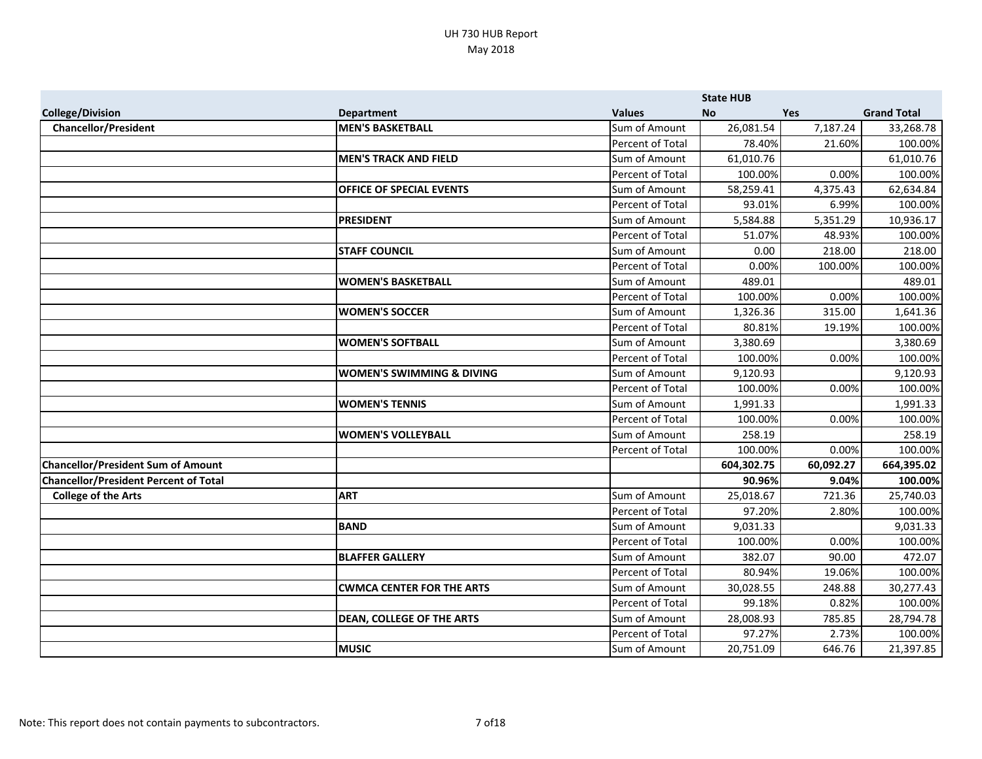|                                              |                                      |                  | <b>State HUB</b> |            |                    |
|----------------------------------------------|--------------------------------------|------------------|------------------|------------|--------------------|
| <b>College/Division</b>                      | <b>Department</b>                    | <b>Values</b>    | <b>No</b>        | <b>Yes</b> | <b>Grand Total</b> |
| <b>Chancellor/President</b>                  | <b>MEN'S BASKETBALL</b>              | Sum of Amount    | 26,081.54        | 7,187.24   | 33,268.78          |
|                                              |                                      | Percent of Total | 78.40%           | 21.60%     | 100.00%            |
|                                              | <b>MEN'S TRACK AND FIELD</b>         | Sum of Amount    | 61,010.76        |            | 61,010.76          |
|                                              |                                      | Percent of Total | 100.00%          | 0.00%      | 100.00%            |
|                                              | <b>OFFICE OF SPECIAL EVENTS</b>      | Sum of Amount    | 58,259.41        | 4,375.43   | 62,634.84          |
|                                              |                                      | Percent of Total | 93.01%           | 6.99%      | 100.00%            |
|                                              | <b>PRESIDENT</b>                     | Sum of Amount    | 5,584.88         | 5,351.29   | 10,936.17          |
|                                              |                                      | Percent of Total | 51.07%           | 48.93%     | 100.00%            |
|                                              | <b>STAFF COUNCIL</b>                 | Sum of Amount    | 0.00             | 218.00     | 218.00             |
|                                              |                                      | Percent of Total | 0.00%            | 100.00%    | 100.00%            |
|                                              | <b>WOMEN'S BASKETBALL</b>            | Sum of Amount    | 489.01           |            | 489.01             |
|                                              |                                      | Percent of Total | 100.00%          | 0.00%      | 100.00%            |
|                                              | <b>WOMEN'S SOCCER</b>                | Sum of Amount    | 1,326.36         | 315.00     | 1,641.36           |
|                                              |                                      | Percent of Total | 80.81%           | 19.19%     | 100.00%            |
|                                              | <b>WOMEN'S SOFTBALL</b>              | Sum of Amount    | 3,380.69         |            | 3,380.69           |
|                                              |                                      | Percent of Total | 100.00%          | 0.00%      | 100.00%            |
|                                              | <b>WOMEN'S SWIMMING &amp; DIVING</b> | Sum of Amount    | 9,120.93         |            | 9,120.93           |
|                                              |                                      | Percent of Total | 100.00%          | 0.00%      | 100.00%            |
|                                              | <b>WOMEN'S TENNIS</b>                | Sum of Amount    | 1,991.33         |            | 1,991.33           |
|                                              |                                      | Percent of Total | 100.00%          | 0.00%      | 100.00%            |
|                                              | <b>WOMEN'S VOLLEYBALL</b>            | Sum of Amount    | 258.19           |            | 258.19             |
|                                              |                                      | Percent of Total | 100.00%          | 0.00%      | 100.00%            |
| <b>Chancellor/President Sum of Amount</b>    |                                      |                  | 604,302.75       | 60,092.27  | 664,395.02         |
| <b>Chancellor/President Percent of Total</b> |                                      |                  | 90.96%           | 9.04%      | 100.00%            |
| <b>College of the Arts</b>                   | <b>ART</b>                           | Sum of Amount    | 25,018.67        | 721.36     | 25,740.03          |
|                                              |                                      | Percent of Total | 97.20%           | 2.80%      | 100.00%            |
|                                              | <b>BAND</b>                          | Sum of Amount    | 9,031.33         |            | 9,031.33           |
|                                              |                                      | Percent of Total | 100.00%          | 0.00%      | 100.00%            |
|                                              | <b>BLAFFER GALLERY</b>               | Sum of Amount    | 382.07           | 90.00      | 472.07             |
|                                              |                                      | Percent of Total | 80.94%           | 19.06%     | 100.00%            |
|                                              | <b>CWMCA CENTER FOR THE ARTS</b>     | Sum of Amount    | 30,028.55        | 248.88     | 30,277.43          |
|                                              |                                      | Percent of Total | 99.18%           | 0.82%      | 100.00%            |
|                                              | DEAN, COLLEGE OF THE ARTS            | Sum of Amount    | 28,008.93        | 785.85     | 28,794.78          |
|                                              |                                      | Percent of Total | 97.27%           | 2.73%      | 100.00%            |
|                                              | <b>MUSIC</b>                         | Sum of Amount    | 20,751.09        | 646.76     | 21,397.85          |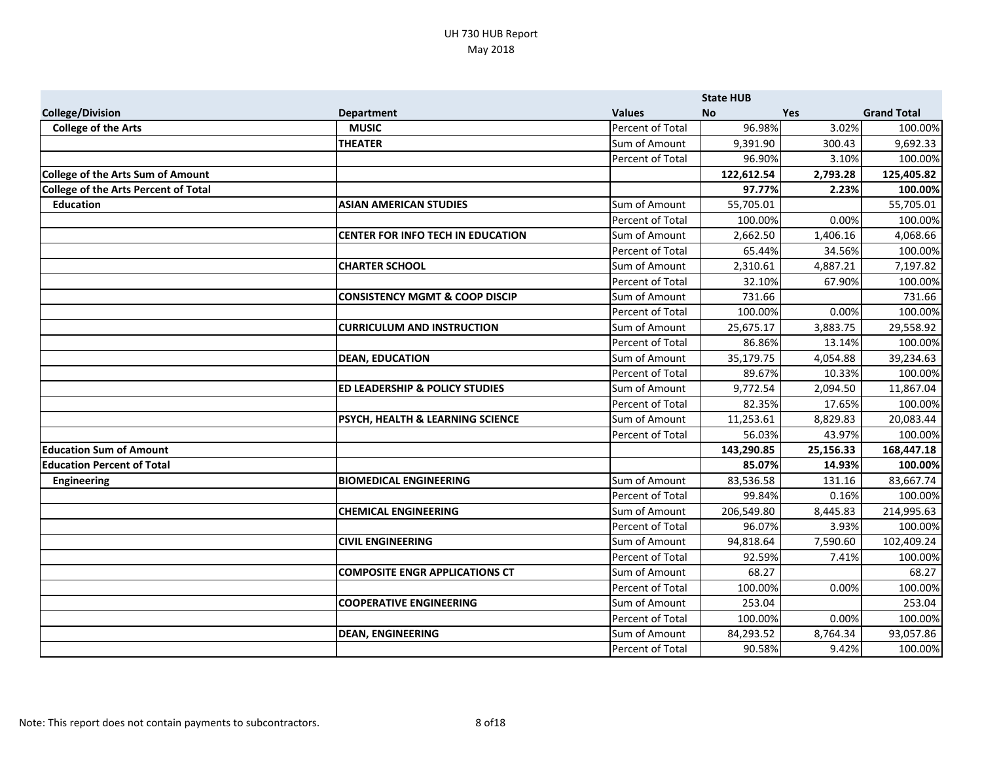|                                             |                                           |                  | <b>State HUB</b> |            |                    |
|---------------------------------------------|-------------------------------------------|------------------|------------------|------------|--------------------|
| <b>College/Division</b>                     | <b>Department</b>                         | <b>Values</b>    | <b>No</b>        | <b>Yes</b> | <b>Grand Total</b> |
| <b>College of the Arts</b>                  | <b>MUSIC</b>                              | Percent of Total | 96.98%           | 3.02%      | 100.00%            |
|                                             | <b>THEATER</b>                            | Sum of Amount    | 9,391.90         | 300.43     | 9,692.33           |
|                                             |                                           | Percent of Total | 96.90%           | 3.10%      | 100.00%            |
| <b>College of the Arts Sum of Amount</b>    |                                           |                  | 122,612.54       | 2,793.28   | 125,405.82         |
| <b>College of the Arts Percent of Total</b> |                                           |                  | 97.77%           | 2.23%      | 100.00%            |
| <b>Education</b>                            | <b>ASIAN AMERICAN STUDIES</b>             | Sum of Amount    | 55,705.01        |            | 55,705.01          |
|                                             |                                           | Percent of Total | 100.00%          | 0.00%      | 100.00%            |
|                                             | <b>CENTER FOR INFO TECH IN EDUCATION</b>  | Sum of Amount    | 2,662.50         | 1,406.16   | 4,068.66           |
|                                             |                                           | Percent of Total | 65.44%           | 34.56%     | 100.00%            |
|                                             | <b>CHARTER SCHOOL</b>                     | Sum of Amount    | 2,310.61         | 4,887.21   | 7,197.82           |
|                                             |                                           | Percent of Total | 32.10%           | 67.90%     | 100.00%            |
|                                             | <b>CONSISTENCY MGMT &amp; COOP DISCIP</b> | Sum of Amount    | 731.66           |            | 731.66             |
|                                             |                                           | Percent of Total | 100.00%          | 0.00%      | 100.00%            |
|                                             | <b>CURRICULUM AND INSTRUCTION</b>         | Sum of Amount    | 25,675.17        | 3,883.75   | 29,558.92          |
|                                             |                                           | Percent of Total | 86.86%           | 13.14%     | 100.00%            |
|                                             | <b>DEAN, EDUCATION</b>                    | Sum of Amount    | 35,179.75        | 4,054.88   | 39,234.63          |
|                                             |                                           | Percent of Total | 89.67%           | 10.33%     | 100.00%            |
|                                             | ED LEADERSHIP & POLICY STUDIES            | Sum of Amount    | 9,772.54         | 2,094.50   | 11,867.04          |
|                                             |                                           | Percent of Total | 82.35%           | 17.65%     | 100.00%            |
|                                             | PSYCH, HEALTH & LEARNING SCIENCE          | Sum of Amount    | 11,253.61        | 8,829.83   | 20,083.44          |
|                                             |                                           | Percent of Total | 56.03%           | 43.97%     | 100.00%            |
| <b>Education Sum of Amount</b>              |                                           |                  | 143,290.85       | 25,156.33  | 168,447.18         |
| <b>Education Percent of Total</b>           |                                           |                  | 85.07%           | 14.93%     | 100.00%            |
| <b>Engineering</b>                          | <b>BIOMEDICAL ENGINEERING</b>             | Sum of Amount    | 83,536.58        | 131.16     | 83,667.74          |
|                                             |                                           | Percent of Total | 99.84%           | 0.16%      | 100.00%            |
|                                             | <b>CHEMICAL ENGINEERING</b>               | Sum of Amount    | 206,549.80       | 8,445.83   | 214,995.63         |
|                                             |                                           | Percent of Total | 96.07%           | 3.93%      | 100.00%            |
|                                             | <b>CIVIL ENGINEERING</b>                  | Sum of Amount    | 94,818.64        | 7,590.60   | 102,409.24         |
|                                             |                                           | Percent of Total | 92.59%           | 7.41%      | 100.00%            |
|                                             | <b>COMPOSITE ENGR APPLICATIONS CT</b>     | Sum of Amount    | 68.27            |            | 68.27              |
|                                             |                                           | Percent of Total | 100.00%          | 0.00%      | 100.00%            |
|                                             | <b>COOPERATIVE ENGINEERING</b>            | Sum of Amount    | 253.04           |            | 253.04             |
|                                             |                                           | Percent of Total | 100.00%          | 0.00%      | 100.00%            |
|                                             | <b>DEAN, ENGINEERING</b>                  | Sum of Amount    | 84,293.52        | 8,764.34   | 93,057.86          |
|                                             |                                           | Percent of Total | 90.58%           | 9.42%      | 100.00%            |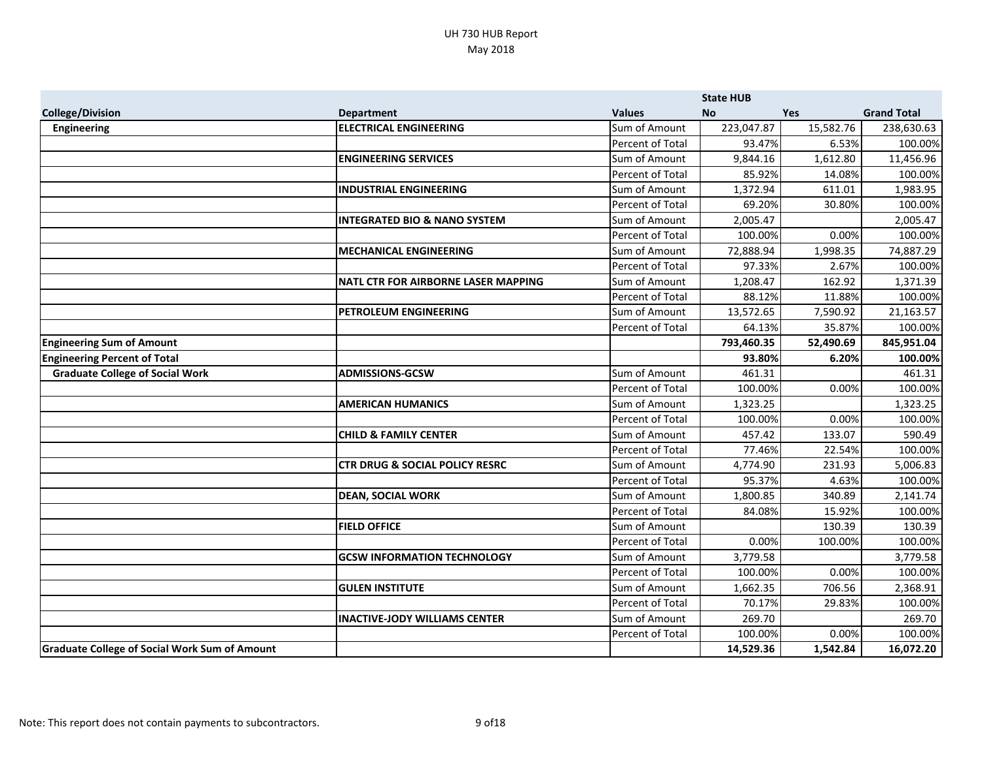|                                                      |                                            |                  | <b>State HUB</b> |            |                    |
|------------------------------------------------------|--------------------------------------------|------------------|------------------|------------|--------------------|
| <b>College/Division</b>                              | <b>Department</b>                          | <b>Values</b>    | <b>No</b>        | <b>Yes</b> | <b>Grand Total</b> |
| <b>Engineering</b>                                   | <b>ELECTRICAL ENGINEERING</b>              | Sum of Amount    | 223,047.87       | 15,582.76  | 238,630.63         |
|                                                      |                                            | Percent of Total | 93.47%           | 6.53%      | 100.00%            |
|                                                      | <b>ENGINEERING SERVICES</b>                | Sum of Amount    | 9,844.16         | 1,612.80   | 11,456.96          |
|                                                      |                                            | Percent of Total | 85.92%           | 14.08%     | 100.00%            |
|                                                      | <b>INDUSTRIAL ENGINEERING</b>              | Sum of Amount    | 1,372.94         | 611.01     | 1,983.95           |
|                                                      |                                            | Percent of Total | 69.20%           | 30.80%     | 100.00%            |
|                                                      | <b>INTEGRATED BIO &amp; NANO SYSTEM</b>    | Sum of Amount    | 2,005.47         |            | 2,005.47           |
|                                                      |                                            | Percent of Total | 100.00%          | 0.00%      | 100.00%            |
|                                                      | <b>MECHANICAL ENGINEERING</b>              | Sum of Amount    | 72,888.94        | 1,998.35   | 74,887.29          |
|                                                      |                                            | Percent of Total | 97.33%           | 2.67%      | 100.00%            |
|                                                      | <b>NATL CTR FOR AIRBORNE LASER MAPPING</b> | Sum of Amount    | 1,208.47         | 162.92     | 1,371.39           |
|                                                      |                                            | Percent of Total | 88.12%           | 11.88%     | 100.00%            |
|                                                      | PETROLEUM ENGINEERING                      | Sum of Amount    | 13,572.65        | 7,590.92   | 21,163.57          |
|                                                      |                                            | Percent of Total | 64.13%           | 35.87%     | 100.00%            |
| <b>Engineering Sum of Amount</b>                     |                                            |                  | 793,460.35       | 52,490.69  | 845,951.04         |
| <b>Engineering Percent of Total</b>                  |                                            |                  | 93.80%           | 6.20%      | 100.00%            |
| <b>Graduate College of Social Work</b>               | <b>ADMISSIONS-GCSW</b>                     | Sum of Amount    | 461.31           |            | 461.31             |
|                                                      |                                            | Percent of Total | 100.00%          | 0.00%      | 100.00%            |
|                                                      | <b>AMERICAN HUMANICS</b>                   | Sum of Amount    | 1,323.25         |            | 1,323.25           |
|                                                      |                                            | Percent of Total | 100.00%          | 0.00%      | 100.00%            |
|                                                      | <b>CHILD &amp; FAMILY CENTER</b>           | Sum of Amount    | 457.42           | 133.07     | 590.49             |
|                                                      |                                            | Percent of Total | 77.46%           | 22.54%     | 100.00%            |
|                                                      | <b>CTR DRUG &amp; SOCIAL POLICY RESRC</b>  | Sum of Amount    | 4,774.90         | 231.93     | 5,006.83           |
|                                                      |                                            | Percent of Total | 95.37%           | 4.63%      | 100.00%            |
|                                                      | <b>DEAN, SOCIAL WORK</b>                   | Sum of Amount    | 1,800.85         | 340.89     | 2,141.74           |
|                                                      |                                            | Percent of Total | 84.08%           | 15.92%     | 100.00%            |
|                                                      | <b>FIELD OFFICE</b>                        | Sum of Amount    |                  | 130.39     | 130.39             |
|                                                      |                                            | Percent of Total | 0.00%            | 100.00%    | 100.00%            |
|                                                      | <b>GCSW INFORMATION TECHNOLOGY</b>         | Sum of Amount    | 3,779.58         |            | 3,779.58           |
|                                                      |                                            | Percent of Total | 100.00%          | 0.00%      | 100.00%            |
|                                                      | <b>GULEN INSTITUTE</b>                     | Sum of Amount    | 1,662.35         | 706.56     | 2,368.91           |
|                                                      |                                            | Percent of Total | 70.17%           | 29.83%     | 100.00%            |
|                                                      | <b>INACTIVE-JODY WILLIAMS CENTER</b>       | Sum of Amount    | 269.70           |            | 269.70             |
|                                                      |                                            | Percent of Total | 100.00%          | 0.00%      | 100.00%            |
| <b>Graduate College of Social Work Sum of Amount</b> |                                            |                  | 14,529.36        | 1,542.84   | 16,072.20          |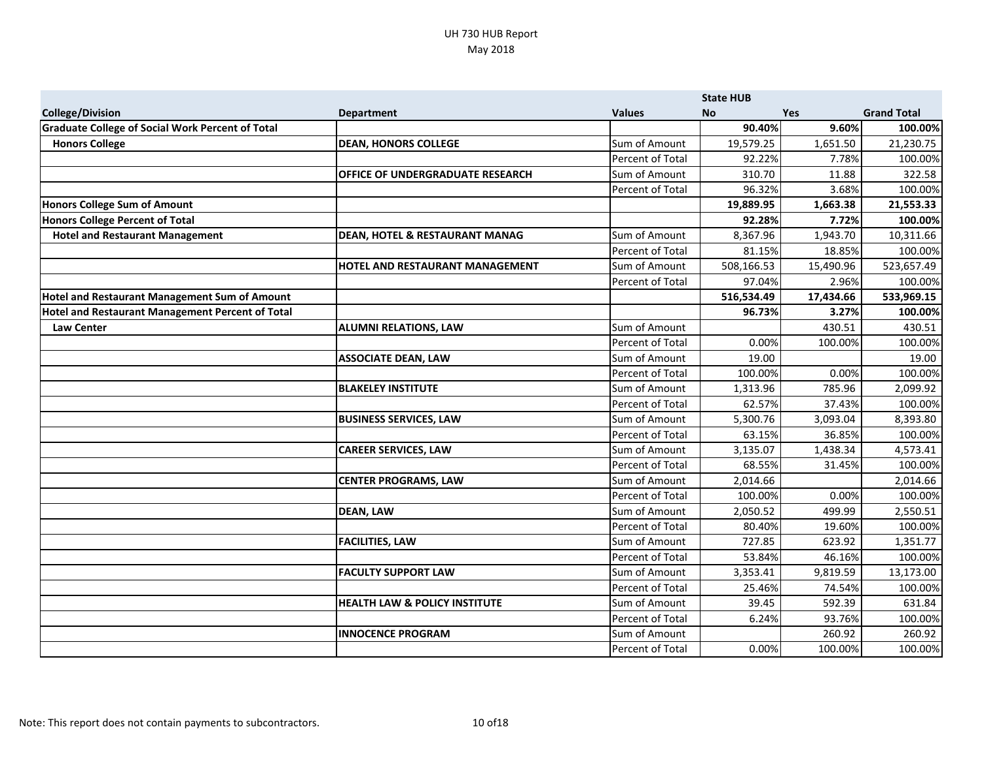|                                                         |                                           |                  | <b>State HUB</b> |            |                    |
|---------------------------------------------------------|-------------------------------------------|------------------|------------------|------------|--------------------|
| <b>College/Division</b>                                 | <b>Department</b>                         | <b>Values</b>    | <b>No</b>        | <b>Yes</b> | <b>Grand Total</b> |
| <b>Graduate College of Social Work Percent of Total</b> |                                           |                  | 90.40%           | 9.60%      | 100.00%            |
| <b>Honors College</b>                                   | <b>DEAN, HONORS COLLEGE</b>               | Sum of Amount    | 19,579.25        | 1,651.50   | 21,230.75          |
|                                                         |                                           | Percent of Total | 92.22%           | 7.78%      | 100.00%            |
|                                                         | <b>OFFICE OF UNDERGRADUATE RESEARCH</b>   | Sum of Amount    | 310.70           | 11.88      | 322.58             |
|                                                         |                                           | Percent of Total | 96.32%           | 3.68%      | 100.00%            |
| <b>Honors College Sum of Amount</b>                     |                                           |                  | 19,889.95        | 1,663.38   | 21,553.33          |
| <b>Honors College Percent of Total</b>                  |                                           |                  | 92.28%           | 7.72%      | 100.00%            |
| <b>Hotel and Restaurant Management</b>                  | <b>DEAN, HOTEL &amp; RESTAURANT MANAG</b> | Sum of Amount    | 8,367.96         | 1,943.70   | 10,311.66          |
|                                                         |                                           | Percent of Total | 81.15%           | 18.85%     | 100.00%            |
|                                                         | HOTEL AND RESTAURANT MANAGEMENT           | Sum of Amount    | 508,166.53       | 15,490.96  | 523,657.49         |
|                                                         |                                           | Percent of Total | 97.04%           | 2.96%      | 100.00%            |
| Hotel and Restaurant Management Sum of Amount           |                                           |                  | 516,534.49       | 17,434.66  | 533,969.15         |
| Hotel and Restaurant Management Percent of Total        |                                           |                  | 96.73%           | 3.27%      | 100.00%            |
| <b>Law Center</b>                                       | <b>ALUMNI RELATIONS, LAW</b>              | Sum of Amount    |                  | 430.51     | 430.51             |
|                                                         |                                           | Percent of Total | 0.00%            | 100.00%    | 100.00%            |
|                                                         | <b>ASSOCIATE DEAN, LAW</b>                | Sum of Amount    | 19.00            |            | 19.00              |
|                                                         |                                           | Percent of Total | 100.00%          | 0.00%      | 100.00%            |
|                                                         | <b>BLAKELEY INSTITUTE</b>                 | Sum of Amount    | 1,313.96         | 785.96     | 2,099.92           |
|                                                         |                                           | Percent of Total | 62.57%           | 37.43%     | 100.00%            |
|                                                         | <b>BUSINESS SERVICES, LAW</b>             | Sum of Amount    | 5,300.76         | 3,093.04   | 8,393.80           |
|                                                         |                                           | Percent of Total | 63.15%           | 36.85%     | 100.00%            |
|                                                         | <b>CAREER SERVICES, LAW</b>               | Sum of Amount    | 3,135.07         | 1,438.34   | 4,573.41           |
|                                                         |                                           | Percent of Total | 68.55%           | 31.45%     | 100.00%            |
|                                                         | <b>CENTER PROGRAMS, LAW</b>               | Sum of Amount    | 2,014.66         |            | 2,014.66           |
|                                                         |                                           | Percent of Total | 100.00%          | 0.00%      | 100.00%            |
|                                                         | <b>DEAN, LAW</b>                          | Sum of Amount    | 2,050.52         | 499.99     | 2,550.51           |
|                                                         |                                           | Percent of Total | 80.40%           | 19.60%     | 100.00%            |
|                                                         | <b>FACILITIES, LAW</b>                    | Sum of Amount    | 727.85           | 623.92     | 1,351.77           |
|                                                         |                                           | Percent of Total | 53.84%           | 46.16%     | 100.00%            |
|                                                         | <b>FACULTY SUPPORT LAW</b>                | Sum of Amount    | 3,353.41         | 9,819.59   | 13,173.00          |
|                                                         |                                           | Percent of Total | 25.46%           | 74.54%     | 100.00%            |
|                                                         | <b>HEALTH LAW &amp; POLICY INSTITUTE</b>  | Sum of Amount    | 39.45            | 592.39     | 631.84             |
|                                                         |                                           | Percent of Total | 6.24%            | 93.76%     | 100.00%            |
|                                                         | <b>INNOCENCE PROGRAM</b>                  | Sum of Amount    |                  | 260.92     | 260.92             |
|                                                         |                                           | Percent of Total | 0.00%            | 100.00%    | 100.00%            |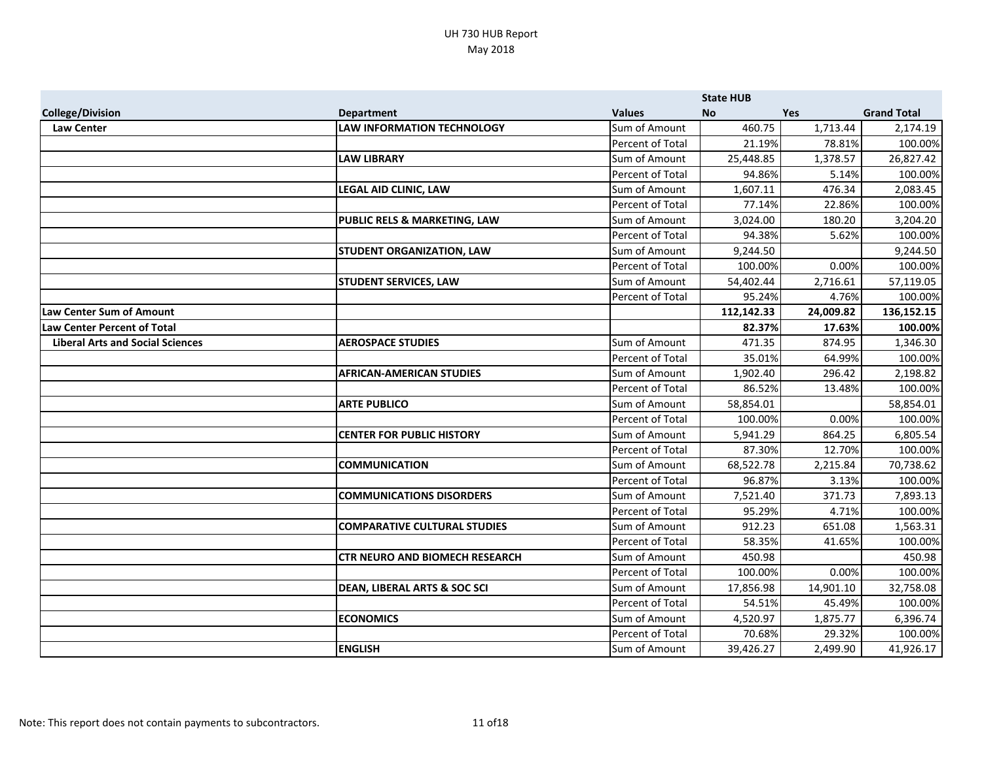|                                         |                                         |                  | <b>State HUB</b> |            |                    |
|-----------------------------------------|-----------------------------------------|------------------|------------------|------------|--------------------|
| <b>College/Division</b>                 | <b>Department</b>                       | <b>Values</b>    | <b>No</b>        | <b>Yes</b> | <b>Grand Total</b> |
| <b>Law Center</b>                       | <b>LAW INFORMATION TECHNOLOGY</b>       | Sum of Amount    | 460.75           | 1,713.44   | 2,174.19           |
|                                         |                                         | Percent of Total | 21.19%           | 78.81%     | 100.00%            |
|                                         | <b>LAW LIBRARY</b>                      | Sum of Amount    | 25,448.85        | 1,378.57   | 26,827.42          |
|                                         |                                         | Percent of Total | 94.86%           | 5.14%      | 100.00%            |
|                                         | LEGAL AID CLINIC, LAW                   | Sum of Amount    | 1,607.11         | 476.34     | 2,083.45           |
|                                         |                                         | Percent of Total | 77.14%           | 22.86%     | 100.00%            |
|                                         | <b>PUBLIC RELS &amp; MARKETING, LAW</b> | Sum of Amount    | 3,024.00         | 180.20     | 3,204.20           |
|                                         |                                         | Percent of Total | 94.38%           | 5.62%      | 100.00%            |
|                                         | <b>STUDENT ORGANIZATION, LAW</b>        | Sum of Amount    | 9,244.50         |            | 9,244.50           |
|                                         |                                         | Percent of Total | 100.00%          | 0.00%      | 100.00%            |
|                                         | <b>STUDENT SERVICES, LAW</b>            | Sum of Amount    | 54,402.44        | 2,716.61   | 57,119.05          |
|                                         |                                         | Percent of Total | 95.24%           | 4.76%      | 100.00%            |
| <b>Law Center Sum of Amount</b>         |                                         |                  | 112,142.33       | 24,009.82  | 136,152.15         |
| <b>Law Center Percent of Total</b>      |                                         |                  | 82.37%           | 17.63%     | 100.00%            |
| <b>Liberal Arts and Social Sciences</b> | <b>AEROSPACE STUDIES</b>                | Sum of Amount    | 471.35           | 874.95     | 1,346.30           |
|                                         |                                         | Percent of Total | 35.01%           | 64.99%     | 100.00%            |
|                                         | <b>AFRICAN-AMERICAN STUDIES</b>         | Sum of Amount    | 1,902.40         | 296.42     | 2,198.82           |
|                                         |                                         | Percent of Total | 86.52%           | 13.48%     | 100.00%            |
|                                         | <b>ARTE PUBLICO</b>                     | Sum of Amount    | 58,854.01        |            | 58,854.01          |
|                                         |                                         | Percent of Total | 100.00%          | 0.00%      | 100.00%            |
|                                         | <b>CENTER FOR PUBLIC HISTORY</b>        | Sum of Amount    | 5,941.29         | 864.25     | 6,805.54           |
|                                         |                                         | Percent of Total | 87.30%           | 12.70%     | 100.00%            |
|                                         | <b>COMMUNICATION</b>                    | Sum of Amount    | 68,522.78        | 2,215.84   | 70,738.62          |
|                                         |                                         | Percent of Total | 96.87%           | 3.13%      | 100.00%            |
|                                         | <b>COMMUNICATIONS DISORDERS</b>         | Sum of Amount    | 7,521.40         | 371.73     | 7,893.13           |
|                                         |                                         | Percent of Total | 95.29%           | 4.71%      | 100.00%            |
|                                         | <b>COMPARATIVE CULTURAL STUDIES</b>     | Sum of Amount    | 912.23           | 651.08     | 1,563.31           |
|                                         |                                         | Percent of Total | 58.35%           | 41.65%     | 100.00%            |
|                                         | <b>CTR NEURO AND BIOMECH RESEARCH</b>   | Sum of Amount    | 450.98           |            | 450.98             |
|                                         |                                         | Percent of Total | 100.00%          | 0.00%      | 100.00%            |
|                                         | <b>DEAN, LIBERAL ARTS &amp; SOC SCI</b> | Sum of Amount    | 17,856.98        | 14,901.10  | 32,758.08          |
|                                         |                                         | Percent of Total | 54.51%           | 45.49%     | 100.00%            |
|                                         | <b>ECONOMICS</b>                        | Sum of Amount    | 4,520.97         | 1,875.77   | 6,396.74           |
|                                         |                                         | Percent of Total | 70.68%           | 29.32%     | 100.00%            |
|                                         | <b>ENGLISH</b>                          | Sum of Amount    | 39,426.27        | 2,499.90   | 41,926.17          |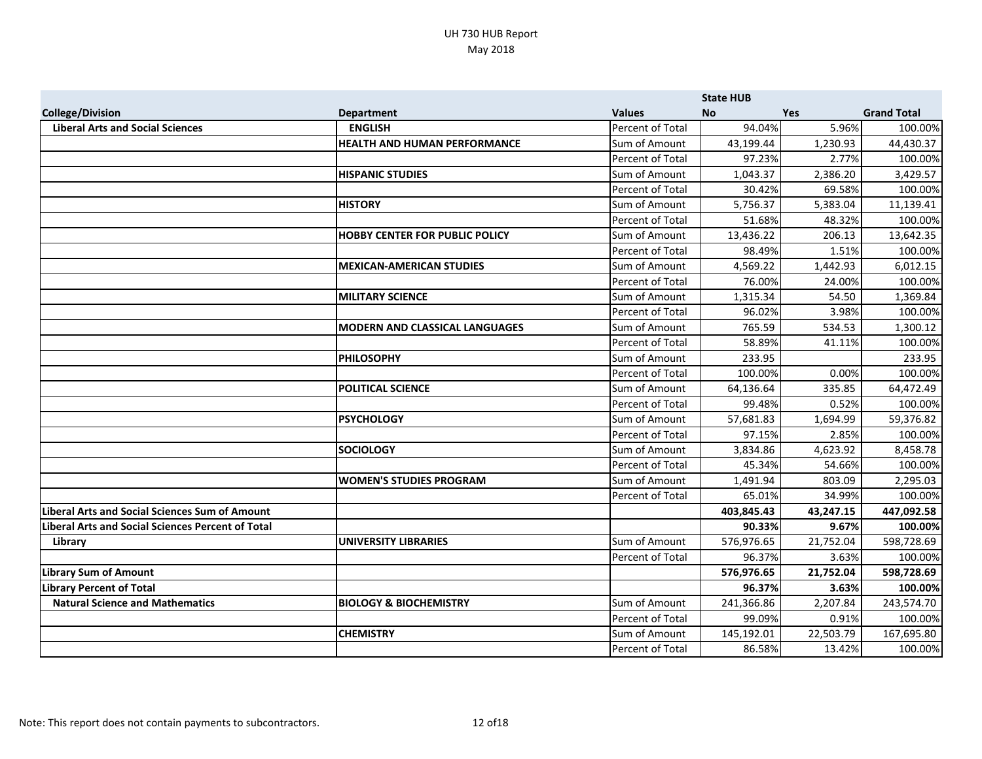|                                                          |                                       |                  | <b>State HUB</b> |            |                    |
|----------------------------------------------------------|---------------------------------------|------------------|------------------|------------|--------------------|
| <b>College/Division</b>                                  | <b>Department</b>                     | <b>Values</b>    | <b>No</b>        | <b>Yes</b> | <b>Grand Total</b> |
| <b>Liberal Arts and Social Sciences</b>                  | <b>ENGLISH</b>                        | Percent of Total | 94.04%           | 5.96%      | 100.00%            |
|                                                          | <b>HEALTH AND HUMAN PERFORMANCE</b>   | Sum of Amount    | 43,199.44        | 1,230.93   | 44,430.37          |
|                                                          |                                       | Percent of Total | 97.23%           | 2.77%      | 100.00%            |
|                                                          | <b>HISPANIC STUDIES</b>               | Sum of Amount    | 1,043.37         | 2,386.20   | 3,429.57           |
|                                                          |                                       | Percent of Total | 30.42%           | 69.58%     | 100.00%            |
|                                                          | <b>HISTORY</b>                        | Sum of Amount    | 5,756.37         | 5,383.04   | 11,139.41          |
|                                                          |                                       | Percent of Total | 51.68%           | 48.32%     | 100.00%            |
|                                                          | <b>HOBBY CENTER FOR PUBLIC POLICY</b> | Sum of Amount    | 13,436.22        | 206.13     | 13,642.35          |
|                                                          |                                       | Percent of Total | 98.49%           | 1.51%      | 100.00%            |
|                                                          | <b>MEXICAN-AMERICAN STUDIES</b>       | Sum of Amount    | 4,569.22         | 1,442.93   | 6,012.15           |
|                                                          |                                       | Percent of Total | 76.00%           | 24.00%     | 100.00%            |
|                                                          | <b>MILITARY SCIENCE</b>               | Sum of Amount    | 1,315.34         | 54.50      | 1,369.84           |
|                                                          |                                       | Percent of Total | 96.02%           | 3.98%      | 100.00%            |
|                                                          | <b>MODERN AND CLASSICAL LANGUAGES</b> | Sum of Amount    | 765.59           | 534.53     | 1,300.12           |
|                                                          |                                       | Percent of Total | 58.89%           | 41.11%     | 100.00%            |
|                                                          | <b>PHILOSOPHY</b>                     | Sum of Amount    | 233.95           |            | 233.95             |
|                                                          |                                       | Percent of Total | 100.00%          | 0.00%      | 100.00%            |
|                                                          | <b>POLITICAL SCIENCE</b>              | Sum of Amount    | 64,136.64        | 335.85     | 64,472.49          |
|                                                          |                                       | Percent of Total | 99.48%           | 0.52%      | 100.00%            |
|                                                          | <b>PSYCHOLOGY</b>                     | Sum of Amount    | 57,681.83        | 1,694.99   | 59,376.82          |
|                                                          |                                       | Percent of Total | 97.15%           | 2.85%      | 100.00%            |
|                                                          | <b>SOCIOLOGY</b>                      | Sum of Amount    | 3,834.86         | 4,623.92   | 8,458.78           |
|                                                          |                                       | Percent of Total | 45.34%           | 54.66%     | 100.00%            |
|                                                          | <b>WOMEN'S STUDIES PROGRAM</b>        | Sum of Amount    | 1,491.94         | 803.09     | 2,295.03           |
|                                                          |                                       | Percent of Total | 65.01%           | 34.99%     | 100.00%            |
| <b>Liberal Arts and Social Sciences Sum of Amount</b>    |                                       |                  | 403,845.43       | 43,247.15  | 447,092.58         |
| <b>Liberal Arts and Social Sciences Percent of Total</b> |                                       |                  | 90.33%           | 9.67%      | 100.00%            |
| Library                                                  | <b>UNIVERSITY LIBRARIES</b>           | Sum of Amount    | 576,976.65       | 21,752.04  | 598,728.69         |
|                                                          |                                       | Percent of Total | 96.37%           | 3.63%      | 100.00%            |
| <b>Library Sum of Amount</b>                             |                                       |                  | 576,976.65       | 21,752.04  | 598,728.69         |
| <b>Library Percent of Total</b>                          |                                       |                  | 96.37%           | 3.63%      | 100.00%            |
| <b>Natural Science and Mathematics</b>                   | <b>BIOLOGY &amp; BIOCHEMISTRY</b>     | Sum of Amount    | 241,366.86       | 2,207.84   | 243,574.70         |
|                                                          |                                       | Percent of Total | 99.09%           | 0.91%      | 100.00%            |
|                                                          | <b>CHEMISTRY</b>                      | Sum of Amount    | 145,192.01       | 22,503.79  | 167,695.80         |
|                                                          |                                       | Percent of Total | 86.58%           | 13.42%     | 100.00%            |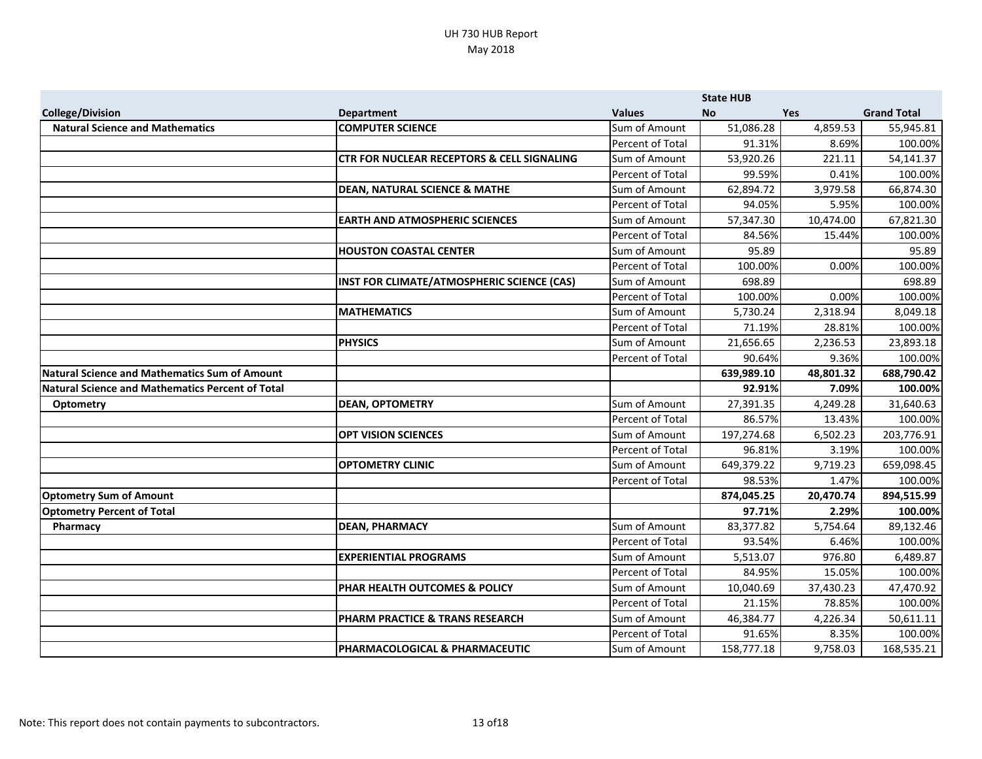|                                                         |                                                       |                  | <b>State HUB</b> |           |                    |
|---------------------------------------------------------|-------------------------------------------------------|------------------|------------------|-----------|--------------------|
| <b>College/Division</b>                                 | <b>Department</b>                                     | <b>Values</b>    | <b>No</b>        | Yes       | <b>Grand Total</b> |
| <b>Natural Science and Mathematics</b>                  | <b>COMPUTER SCIENCE</b>                               | Sum of Amount    | 51,086.28        | 4,859.53  | 55,945.81          |
|                                                         |                                                       | Percent of Total | 91.31%           | 8.69%     | 100.00%            |
|                                                         | <b>CTR FOR NUCLEAR RECEPTORS &amp; CELL SIGNALING</b> | Sum of Amount    | 53,920.26        | 221.11    | 54,141.37          |
|                                                         |                                                       | Percent of Total | 99.59%           | 0.41%     | 100.00%            |
|                                                         | <b>DEAN, NATURAL SCIENCE &amp; MATHE</b>              | Sum of Amount    | 62,894.72        | 3,979.58  | 66,874.30          |
|                                                         |                                                       | Percent of Total | 94.05%           | 5.95%     | 100.00%            |
|                                                         | <b>EARTH AND ATMOSPHERIC SCIENCES</b>                 | Sum of Amount    | 57,347.30        | 10,474.00 | 67,821.30          |
|                                                         |                                                       | Percent of Total | 84.56%           | 15.44%    | 100.00%            |
|                                                         | <b>HOUSTON COASTAL CENTER</b>                         | Sum of Amount    | 95.89            |           | 95.89              |
|                                                         |                                                       | Percent of Total | 100.00%          | 0.00%     | 100.00%            |
|                                                         | INST FOR CLIMATE/ATMOSPHERIC SCIENCE (CAS)            | Sum of Amount    | 698.89           |           | 698.89             |
|                                                         |                                                       | Percent of Total | 100.00%          | 0.00%     | 100.00%            |
|                                                         | <b>MATHEMATICS</b>                                    | Sum of Amount    | 5,730.24         | 2,318.94  | 8,049.18           |
|                                                         |                                                       | Percent of Total | 71.19%           | 28.81%    | 100.00%            |
|                                                         | <b>PHYSICS</b>                                        | Sum of Amount    | 21,656.65        | 2,236.53  | 23,893.18          |
|                                                         |                                                       | Percent of Total | 90.64%           | 9.36%     | 100.00%            |
| Natural Science and Mathematics Sum of Amount           |                                                       |                  | 639,989.10       | 48,801.32 | 688,790.42         |
| <b>Natural Science and Mathematics Percent of Total</b> |                                                       |                  | 92.91%           | 7.09%     | 100.00%            |
| Optometry                                               | <b>DEAN, OPTOMETRY</b>                                | Sum of Amount    | 27,391.35        | 4,249.28  | 31,640.63          |
|                                                         |                                                       | Percent of Total | 86.57%           | 13.43%    | 100.00%            |
|                                                         | <b>OPT VISION SCIENCES</b>                            | Sum of Amount    | 197,274.68       | 6,502.23  | 203,776.91         |
|                                                         |                                                       | Percent of Total | 96.81%           | 3.19%     | 100.00%            |
|                                                         | <b>OPTOMETRY CLINIC</b>                               | Sum of Amount    | 649,379.22       | 9,719.23  | 659,098.45         |
|                                                         |                                                       | Percent of Total | 98.53%           | 1.47%     | 100.00%            |
| <b>Optometry Sum of Amount</b>                          |                                                       |                  | 874,045.25       | 20,470.74 | 894,515.99         |
| <b>Optometry Percent of Total</b>                       |                                                       |                  | 97.71%           | 2.29%     | 100.00%            |
| Pharmacy                                                | <b>DEAN, PHARMACY</b>                                 | Sum of Amount    | 83,377.82        | 5,754.64  | 89,132.46          |
|                                                         |                                                       | Percent of Total | 93.54%           | 6.46%     | 100.00%            |
|                                                         | <b>EXPERIENTIAL PROGRAMS</b>                          | Sum of Amount    | 5,513.07         | 976.80    | 6,489.87           |
|                                                         |                                                       | Percent of Total | 84.95%           | 15.05%    | 100.00%            |
|                                                         | PHAR HEALTH OUTCOMES & POLICY                         | Sum of Amount    | 10,040.69        | 37,430.23 | 47,470.92          |
|                                                         |                                                       | Percent of Total | 21.15%           | 78.85%    | 100.00%            |
|                                                         | PHARM PRACTICE & TRANS RESEARCH                       | Sum of Amount    | 46,384.77        | 4,226.34  | 50,611.11          |
|                                                         |                                                       | Percent of Total | 91.65%           | 8.35%     | 100.00%            |
|                                                         | PHARMACOLOGICAL & PHARMACEUTIC                        | Sum of Amount    | 158,777.18       | 9,758.03  | 168,535.21         |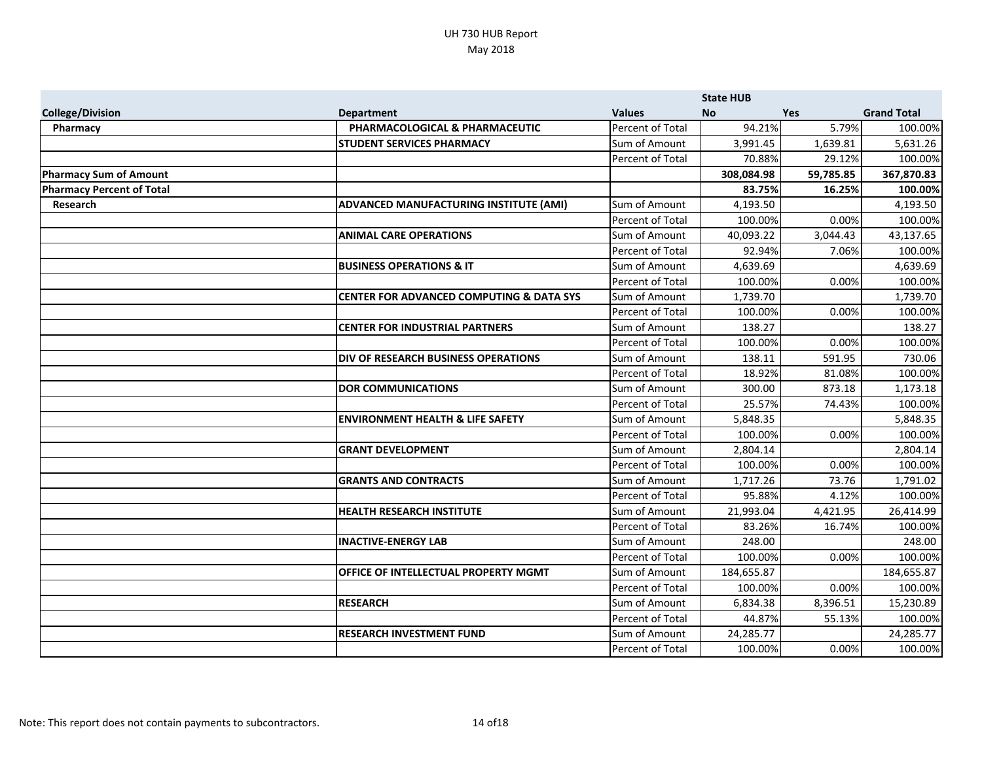|                                  |                                                     |                  | <b>State HUB</b> |            |                    |
|----------------------------------|-----------------------------------------------------|------------------|------------------|------------|--------------------|
| <b>College/Division</b>          | <b>Department</b>                                   | <b>Values</b>    | <b>No</b>        | <b>Yes</b> | <b>Grand Total</b> |
| Pharmacy                         | PHARMACOLOGICAL & PHARMACEUTIC                      | Percent of Total | 94.21%           | 5.79%      | 100.00%            |
|                                  | <b>STUDENT SERVICES PHARMACY</b>                    | Sum of Amount    | 3,991.45         | 1,639.81   | 5,631.26           |
|                                  |                                                     | Percent of Total | 70.88%           | 29.12%     | 100.00%            |
| <b>Pharmacy Sum of Amount</b>    |                                                     |                  | 308,084.98       | 59,785.85  | 367,870.83         |
| <b>Pharmacy Percent of Total</b> |                                                     |                  | 83.75%           | 16.25%     | 100.00%            |
| Research                         | ADVANCED MANUFACTURING INSTITUTE (AMI)              | Sum of Amount    | 4,193.50         |            | 4,193.50           |
|                                  |                                                     | Percent of Total | 100.00%          | 0.00%      | 100.00%            |
|                                  | <b>ANIMAL CARE OPERATIONS</b>                       | Sum of Amount    | 40,093.22        | 3,044.43   | 43,137.65          |
|                                  |                                                     | Percent of Total | 92.94%           | 7.06%      | 100.00%            |
|                                  | <b>BUSINESS OPERATIONS &amp; IT</b>                 | Sum of Amount    | 4,639.69         |            | 4,639.69           |
|                                  |                                                     | Percent of Total | 100.00%          | 0.00%      | 100.00%            |
|                                  | <b>CENTER FOR ADVANCED COMPUTING &amp; DATA SYS</b> | Sum of Amount    | 1,739.70         |            | 1,739.70           |
|                                  |                                                     | Percent of Total | 100.00%          | 0.00%      | 100.00%            |
|                                  | <b>CENTER FOR INDUSTRIAL PARTNERS</b>               | Sum of Amount    | 138.27           |            | 138.27             |
|                                  |                                                     | Percent of Total | 100.00%          | 0.00%      | 100.00%            |
|                                  | DIV OF RESEARCH BUSINESS OPERATIONS                 | Sum of Amount    | 138.11           | 591.95     | 730.06             |
|                                  |                                                     | Percent of Total | 18.92%           | 81.08%     | 100.00%            |
|                                  | <b>DOR COMMUNICATIONS</b>                           | Sum of Amount    | 300.00           | 873.18     | 1,173.18           |
|                                  |                                                     | Percent of Total | 25.57%           | 74.43%     | 100.00%            |
|                                  | <b>ENVIRONMENT HEALTH &amp; LIFE SAFETY</b>         | Sum of Amount    | 5,848.35         |            | 5,848.35           |
|                                  |                                                     | Percent of Total | 100.00%          | 0.00%      | 100.00%            |
|                                  | <b>GRANT DEVELOPMENT</b>                            | Sum of Amount    | 2,804.14         |            | 2,804.14           |
|                                  |                                                     | Percent of Total | 100.00%          | 0.00%      | 100.00%            |
|                                  | <b>GRANTS AND CONTRACTS</b>                         | Sum of Amount    | 1,717.26         | 73.76      | 1,791.02           |
|                                  |                                                     | Percent of Total | 95.88%           | 4.12%      | 100.00%            |
|                                  | <b>HEALTH RESEARCH INSTITUTE</b>                    | Sum of Amount    | 21,993.04        | 4,421.95   | 26,414.99          |
|                                  |                                                     | Percent of Total | 83.26%           | 16.74%     | 100.00%            |
|                                  | <b>INACTIVE-ENERGY LAB</b>                          | Sum of Amount    | 248.00           |            | 248.00             |
|                                  |                                                     | Percent of Total | 100.00%          | 0.00%      | 100.00%            |
|                                  | OFFICE OF INTELLECTUAL PROPERTY MGMT                | Sum of Amount    | 184,655.87       |            | 184,655.87         |
|                                  |                                                     | Percent of Total | 100.00%          | 0.00%      | 100.00%            |
|                                  | <b>RESEARCH</b>                                     | Sum of Amount    | 6,834.38         | 8,396.51   | 15,230.89          |
|                                  |                                                     | Percent of Total | 44.87%           | 55.13%     | 100.00%            |
|                                  | <b>RESEARCH INVESTMENT FUND</b>                     | Sum of Amount    | 24,285.77        |            | 24,285.77          |
|                                  |                                                     | Percent of Total | 100.00%          | 0.00%      | 100.00%            |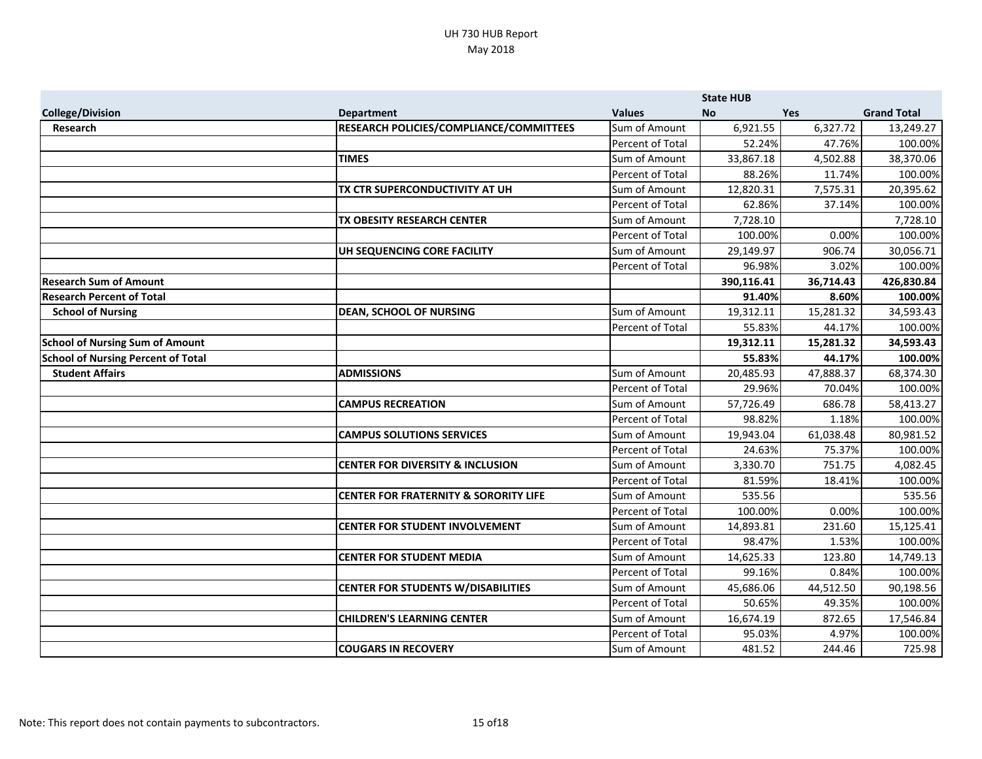|                                           |                                                  |                  | <b>State HUB</b> |            |                    |
|-------------------------------------------|--------------------------------------------------|------------------|------------------|------------|--------------------|
| <b>College/Division</b>                   | <b>Department</b>                                | <b>Values</b>    | <b>No</b>        | <b>Yes</b> | <b>Grand Total</b> |
| Research                                  | RESEARCH POLICIES/COMPLIANCE/COMMITTEES          | Sum of Amount    | 6,921.55         | 6,327.72   | 13,249.27          |
|                                           |                                                  | Percent of Total | 52.24%           | 47.76%     | 100.00%            |
|                                           | <b>TIMES</b>                                     | Sum of Amount    | 33,867.18        | 4,502.88   | 38,370.06          |
|                                           |                                                  | Percent of Total | 88.26%           | 11.74%     | 100.00%            |
|                                           | TX CTR SUPERCONDUCTIVITY AT UH                   | Sum of Amount    | 12,820.31        | 7,575.31   | 20,395.62          |
|                                           |                                                  | Percent of Total | 62.86%           | 37.14%     | 100.00%            |
|                                           | TX OBESITY RESEARCH CENTER                       | Sum of Amount    | 7,728.10         |            | 7,728.10           |
|                                           |                                                  | Percent of Total | 100.00%          | 0.00%      | 100.00%            |
|                                           | UH SEQUENCING CORE FACILITY                      | Sum of Amount    | 29,149.97        | 906.74     | 30,056.71          |
|                                           |                                                  | Percent of Total | 96.98%           | 3.02%      | 100.00%            |
| <b>Research Sum of Amount</b>             |                                                  |                  | 390,116.41       | 36,714.43  | 426,830.84         |
| <b>Research Percent of Total</b>          |                                                  |                  | 91.40%           | 8.60%      | 100.00%            |
| <b>School of Nursing</b>                  | <b>DEAN, SCHOOL OF NURSING</b>                   | Sum of Amount    | 19,312.11        | 15,281.32  | 34,593.43          |
|                                           |                                                  | Percent of Total | 55.83%           | 44.17%     | 100.00%            |
| <b>School of Nursing Sum of Amount</b>    |                                                  |                  | 19,312.11        | 15,281.32  | 34,593.43          |
| <b>School of Nursing Percent of Total</b> |                                                  |                  | 55.83%           | 44.17%     | 100.00%            |
| <b>Student Affairs</b>                    | <b>ADMISSIONS</b>                                | Sum of Amount    | 20,485.93        | 47,888.37  | 68,374.30          |
|                                           |                                                  | Percent of Total | 29.96%           | 70.04%     | 100.00%            |
|                                           | <b>CAMPUS RECREATION</b>                         | Sum of Amount    | 57,726.49        | 686.78     | 58,413.27          |
|                                           |                                                  | Percent of Total | 98.82%           | 1.18%      | 100.00%            |
|                                           | <b>CAMPUS SOLUTIONS SERVICES</b>                 | Sum of Amount    | 19,943.04        | 61,038.48  | 80,981.52          |
|                                           |                                                  | Percent of Total | 24.63%           | 75.37%     | 100.00%            |
|                                           | <b>CENTER FOR DIVERSITY &amp; INCLUSION</b>      | Sum of Amount    | 3,330.70         | 751.75     | 4,082.45           |
|                                           |                                                  | Percent of Total | 81.59%           | 18.41%     | 100.00%            |
|                                           | <b>CENTER FOR FRATERNITY &amp; SORORITY LIFE</b> | Sum of Amount    | 535.56           |            | 535.56             |
|                                           |                                                  | Percent of Total | 100.00%          | 0.00%      | 100.00%            |
|                                           | <b>CENTER FOR STUDENT INVOLVEMENT</b>            | Sum of Amount    | 14,893.81        | 231.60     | 15,125.41          |
|                                           |                                                  | Percent of Total | 98.47%           | 1.53%      | 100.00%            |
|                                           | <b>CENTER FOR STUDENT MEDIA</b>                  | Sum of Amount    | 14,625.33        | 123.80     | 14,749.13          |
|                                           |                                                  | Percent of Total | 99.16%           | 0.84%      | 100.00%            |
|                                           | <b>CENTER FOR STUDENTS W/DISABILITIES</b>        | Sum of Amount    | 45,686.06        | 44,512.50  | 90,198.56          |
|                                           |                                                  | Percent of Total | 50.65%           | 49.35%     | 100.00%            |
|                                           | <b>CHILDREN'S LEARNING CENTER</b>                | Sum of Amount    | 16,674.19        | 872.65     | 17,546.84          |
|                                           |                                                  | Percent of Total | 95.03%           | 4.97%      | 100.00%            |
|                                           | <b>COUGARS IN RECOVERY</b>                       | Sum of Amount    | 481.52           | 244.46     | 725.98             |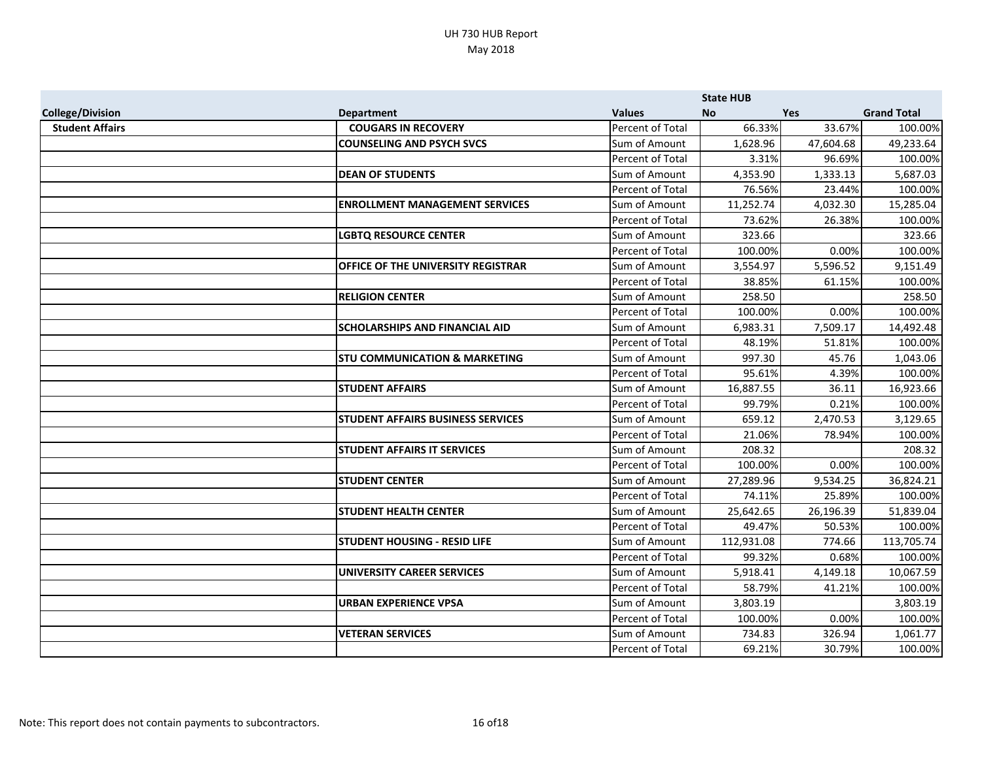|                         |                                          |                  | <b>State HUB</b> |            |                    |
|-------------------------|------------------------------------------|------------------|------------------|------------|--------------------|
| <b>College/Division</b> | <b>Department</b>                        | <b>Values</b>    | No               | <b>Yes</b> | <b>Grand Total</b> |
| <b>Student Affairs</b>  | <b>COUGARS IN RECOVERY</b>               | Percent of Total | 66.33%           | 33.67%     | 100.00%            |
|                         | <b>COUNSELING AND PSYCH SVCS</b>         | Sum of Amount    | 1,628.96         | 47,604.68  | 49,233.64          |
|                         |                                          | Percent of Total | 3.31%            | 96.69%     | 100.00%            |
|                         | <b>DEAN OF STUDENTS</b>                  | Sum of Amount    | 4,353.90         | 1,333.13   | 5,687.03           |
|                         |                                          | Percent of Total | 76.56%           | 23.44%     | 100.00%            |
|                         | <b>ENROLLMENT MANAGEMENT SERVICES</b>    | Sum of Amount    | 11,252.74        | 4,032.30   | 15,285.04          |
|                         |                                          | Percent of Total | 73.62%           | 26.38%     | 100.00%            |
|                         | <b>LGBTQ RESOURCE CENTER</b>             | Sum of Amount    | 323.66           |            | 323.66             |
|                         |                                          | Percent of Total | 100.00%          | 0.00%      | 100.00%            |
|                         | OFFICE OF THE UNIVERSITY REGISTRAR       | Sum of Amount    | 3,554.97         | 5,596.52   | 9,151.49           |
|                         |                                          | Percent of Total | 38.85%           | 61.15%     | 100.00%            |
|                         | <b>RELIGION CENTER</b>                   | Sum of Amount    | 258.50           |            | 258.50             |
|                         |                                          | Percent of Total | 100.00%          | 0.00%      | 100.00%            |
|                         | <b>SCHOLARSHIPS AND FINANCIAL AID</b>    | Sum of Amount    | 6,983.31         | 7,509.17   | 14,492.48          |
|                         |                                          | Percent of Total | 48.19%           | 51.81%     | 100.00%            |
|                         | <b>STU COMMUNICATION &amp; MARKETING</b> | Sum of Amount    | 997.30           | 45.76      | 1,043.06           |
|                         |                                          | Percent of Total | 95.61%           | 4.39%      | 100.00%            |
|                         | <b>STUDENT AFFAIRS</b>                   | Sum of Amount    | 16,887.55        | 36.11      | 16,923.66          |
|                         |                                          | Percent of Total | 99.79%           | 0.21%      | 100.00%            |
|                         | <b>STUDENT AFFAIRS BUSINESS SERVICES</b> | Sum of Amount    | 659.12           | 2,470.53   | 3,129.65           |
|                         |                                          | Percent of Total | 21.06%           | 78.94%     | 100.00%            |
|                         | <b>STUDENT AFFAIRS IT SERVICES</b>       | Sum of Amount    | 208.32           |            | 208.32             |
|                         |                                          | Percent of Total | 100.00%          | 0.00%      | 100.00%            |
|                         | <b>STUDENT CENTER</b>                    | Sum of Amount    | 27,289.96        | 9,534.25   | 36,824.21          |
|                         |                                          | Percent of Total | 74.11%           | 25.89%     | 100.00%            |
|                         | <b>STUDENT HEALTH CENTER</b>             | Sum of Amount    | 25,642.65        | 26,196.39  | 51,839.04          |
|                         |                                          | Percent of Total | 49.47%           | 50.53%     | 100.00%            |
|                         | <b>STUDENT HOUSING - RESID LIFE</b>      | Sum of Amount    | 112,931.08       | 774.66     | 113,705.74         |
|                         |                                          | Percent of Total | 99.32%           | 0.68%      | 100.00%            |
|                         | <b>UNIVERSITY CAREER SERVICES</b>        | Sum of Amount    | 5,918.41         | 4,149.18   | 10,067.59          |
|                         |                                          | Percent of Total | 58.79%           | 41.21%     | 100.00%            |
|                         | URBAN EXPERIENCE VPSA                    | Sum of Amount    | 3,803.19         |            | 3,803.19           |
|                         |                                          | Percent of Total | 100.00%          | 0.00%      | 100.00%            |
|                         | <b>VETERAN SERVICES</b>                  | Sum of Amount    | 734.83           | 326.94     | 1,061.77           |
|                         |                                          | Percent of Total | 69.21%           | 30.79%     | 100.00%            |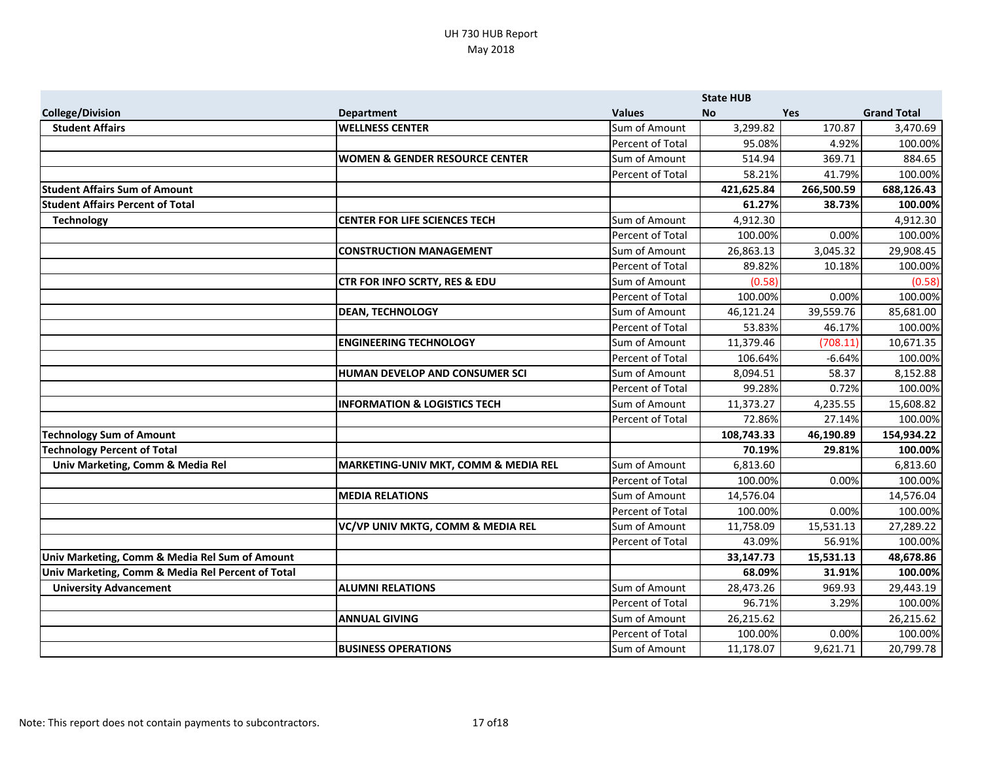|                                                   |                                           |                  | <b>State HUB</b> |            |                    |
|---------------------------------------------------|-------------------------------------------|------------------|------------------|------------|--------------------|
| <b>College/Division</b>                           | <b>Department</b>                         | <b>Values</b>    | <b>No</b>        | <b>Yes</b> | <b>Grand Total</b> |
| <b>Student Affairs</b>                            | <b>WELLNESS CENTER</b>                    | Sum of Amount    | 3,299.82         | 170.87     | 3,470.69           |
|                                                   |                                           | Percent of Total | 95.08%           | 4.92%      | 100.00%            |
|                                                   | <b>WOMEN &amp; GENDER RESOURCE CENTER</b> | Sum of Amount    | 514.94           | 369.71     | 884.65             |
|                                                   |                                           | Percent of Total | 58.21%           | 41.79%     | 100.00%            |
| <b>Student Affairs Sum of Amount</b>              |                                           |                  | 421,625.84       | 266,500.59 | 688,126.43         |
| <b>Student Affairs Percent of Total</b>           |                                           |                  | 61.27%           | 38.73%     | 100.00%            |
| <b>Technology</b>                                 | <b>CENTER FOR LIFE SCIENCES TECH</b>      | Sum of Amount    | 4,912.30         |            | 4,912.30           |
|                                                   |                                           | Percent of Total | 100.00%          | 0.00%      | 100.00%            |
|                                                   | <b>CONSTRUCTION MANAGEMENT</b>            | Sum of Amount    | 26,863.13        | 3,045.32   | 29,908.45          |
|                                                   |                                           | Percent of Total | 89.82%           | 10.18%     | 100.00%            |
|                                                   | CTR FOR INFO SCRTY, RES & EDU             | Sum of Amount    | (0.58)           |            | (0.58)             |
|                                                   |                                           | Percent of Total | 100.00%          | 0.00%      | 100.00%            |
|                                                   | <b>DEAN, TECHNOLOGY</b>                   | Sum of Amount    | 46,121.24        | 39,559.76  | 85,681.00          |
|                                                   |                                           | Percent of Total | 53.83%           | 46.17%     | 100.00%            |
|                                                   | <b>ENGINEERING TECHNOLOGY</b>             | Sum of Amount    | 11,379.46        | (708.11)   | 10,671.35          |
|                                                   |                                           | Percent of Total | 106.64%          | $-6.64%$   | 100.00%            |
|                                                   | HUMAN DEVELOP AND CONSUMER SCI            | Sum of Amount    | 8,094.51         | 58.37      | 8,152.88           |
|                                                   |                                           | Percent of Total | 99.28%           | 0.72%      | 100.00%            |
|                                                   | <b>INFORMATION &amp; LOGISTICS TECH</b>   | Sum of Amount    | 11,373.27        | 4,235.55   | 15,608.82          |
|                                                   |                                           | Percent of Total | 72.86%           | 27.14%     | 100.00%            |
| <b>Technology Sum of Amount</b>                   |                                           |                  | 108,743.33       | 46,190.89  | 154,934.22         |
| <b>Technology Percent of Total</b>                |                                           |                  | 70.19%           | 29.81%     | 100.00%            |
| Univ Marketing, Comm & Media Rel                  | MARKETING-UNIV MKT, COMM & MEDIA REL      | Sum of Amount    | 6,813.60         |            | 6,813.60           |
|                                                   |                                           | Percent of Total | 100.00%          | 0.00%      | 100.00%            |
|                                                   | <b>MEDIA RELATIONS</b>                    | Sum of Amount    | 14,576.04        |            | 14,576.04          |
|                                                   |                                           | Percent of Total | 100.00%          | 0.00%      | 100.00%            |
|                                                   | VC/VP UNIV MKTG, COMM & MEDIA REL         | Sum of Amount    | 11,758.09        | 15,531.13  | 27,289.22          |
|                                                   |                                           | Percent of Total | 43.09%           | 56.91%     | 100.00%            |
| Univ Marketing, Comm & Media Rel Sum of Amount    |                                           |                  | 33,147.73        | 15,531.13  | 48,678.86          |
| Univ Marketing, Comm & Media Rel Percent of Total |                                           |                  | 68.09%           | 31.91%     | 100.00%            |
| <b>University Advancement</b>                     | <b>ALUMNI RELATIONS</b>                   | Sum of Amount    | 28,473.26        | 969.93     | 29,443.19          |
|                                                   |                                           | Percent of Total | 96.71%           | 3.29%      | 100.00%            |
|                                                   | <b>ANNUAL GIVING</b>                      | Sum of Amount    | 26,215.62        |            | 26,215.62          |
|                                                   |                                           | Percent of Total | 100.00%          | 0.00%      | 100.00%            |
|                                                   | <b>BUSINESS OPERATIONS</b>                | Sum of Amount    | 11,178.07        | 9,621.71   | 20,799.78          |